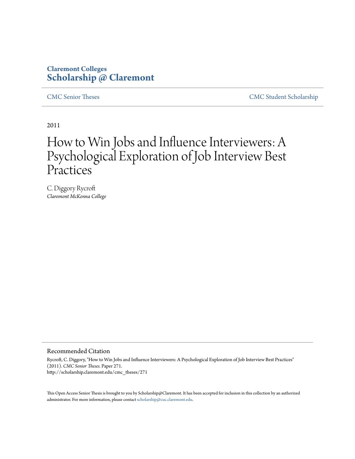# **Claremont Colleges [Scholarship @ Claremont](http://scholarship.claremont.edu)**

[CMC Senior Theses](http://scholarship.claremont.edu/cmc_theses) [CMC Student Scholarship](http://scholarship.claremont.edu/cmc_student)

2011

# How to Win Jobs and Influence Interviewers: A Psychological Exploration of Job Interview Best **Practices**

C. Diggory Rycroft *Claremont McKenna College*

#### Recommended Citation

Rycroft, C. Diggory, "How to Win Jobs and Influence Interviewers: A Psychological Exploration of Job Interview Best Practices" (2011). *CMC Senior Theses.* Paper 271. http://scholarship.claremont.edu/cmc\_theses/271

This Open Access Senior Thesis is brought to you by Scholarship@Claremont. It has been accepted for inclusion in this collection by an authorized administrator. For more information, please contact [scholarship@cuc.claremont.edu.](mailto:scholarship@cuc.claremont.edu)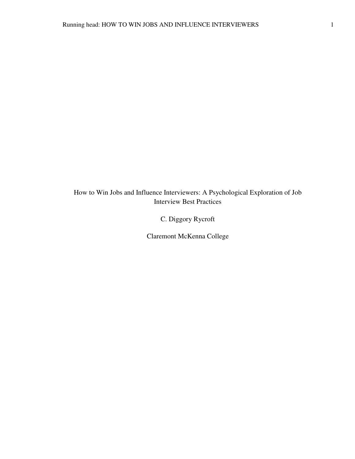How to Win Jobs and Influence Interviewers: A Psychological Exploration of Job Interview Best Practices

C. Diggory Rycroft

Claremont McKenna College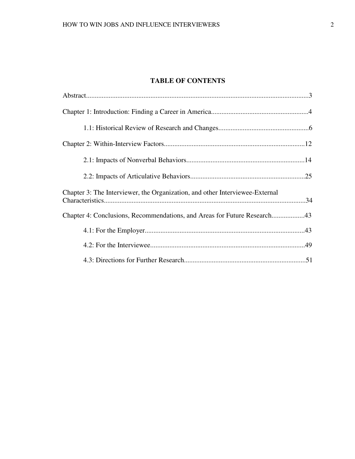# **TABLE OF CONTENTS**

| Chapter 3: The Interviewer, the Organization, and other Interviewee-External |  |
|------------------------------------------------------------------------------|--|
| Chapter 4: Conclusions, Recommendations, and Areas for Future Research43     |  |
|                                                                              |  |
|                                                                              |  |
|                                                                              |  |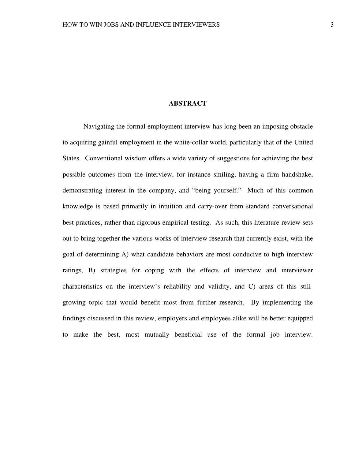# **ABSTRACT**

 Navigating the formal employment interview has long been an imposing obstacle to acquiring gainful employment in the white-collar world, particularly that of the United States. Conventional wisdom offers a wide variety of suggestions for achieving the best possible outcomes from the interview, for instance smiling, having a firm handshake, demonstrating interest in the company, and "being yourself." Much of this common knowledge is based primarily in intuition and carry-over from standard conversational best practices, rather than rigorous empirical testing. As such, this literature review sets out to bring together the various works of interview research that currently exist, with the goal of determining A) what candidate behaviors are most conducive to high interview ratings, B) strategies for coping with the effects of interview and interviewer characteristics on the interview's reliability and validity, and C) areas of this stillgrowing topic that would benefit most from further research. By implementing the findings discussed in this review, employers and employees alike will be better equipped to make the best, most mutually beneficial use of the formal job interview.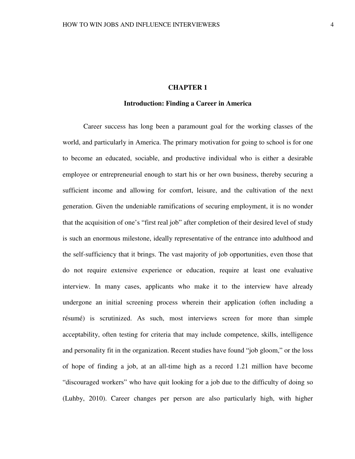# **CHAPTER 1**

# **Introduction: Finding a Career in America**

Career success has long been a paramount goal for the working classes of the world, and particularly in America. The primary motivation for going to school is for one to become an educated, sociable, and productive individual who is either a desirable employee or entrepreneurial enough to start his or her own business, thereby securing a sufficient income and allowing for comfort, leisure, and the cultivation of the next generation. Given the undeniable ramifications of securing employment, it is no wonder that the acquisition of one's "first real job" after completion of their desired level of study is such an enormous milestone, ideally representative of the entrance into adulthood and the self-sufficiency that it brings. The vast majority of job opportunities, even those that do not require extensive experience or education, require at least one evaluative interview. In many cases, applicants who make it to the interview have already undergone an initial screening process wherein their application (often including a résumé) is scrutinized. As such, most interviews screen for more than simple acceptability, often testing for criteria that may include competence, skills, intelligence and personality fit in the organization. Recent studies have found "job gloom," or the loss of hope of finding a job, at an all-time high as a record 1.21 million have become "discouraged workers" who have quit looking for a job due to the difficulty of doing so (Luhby, 2010). Career changes per person are also particularly high, with higher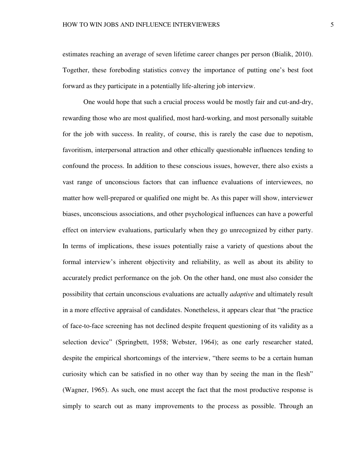estimates reaching an average of seven lifetime career changes per person (Bialik, 2010). Together, these foreboding statistics convey the importance of putting one's best foot forward as they participate in a potentially life-altering job interview.

One would hope that such a crucial process would be mostly fair and cut-and-dry, rewarding those who are most qualified, most hard-working, and most personally suitable for the job with success. In reality, of course, this is rarely the case due to nepotism, favoritism, interpersonal attraction and other ethically questionable influences tending to confound the process. In addition to these conscious issues, however, there also exists a vast range of unconscious factors that can influence evaluations of interviewees, no matter how well-prepared or qualified one might be. As this paper will show, interviewer biases, unconscious associations, and other psychological influences can have a powerful effect on interview evaluations, particularly when they go unrecognized by either party. In terms of implications, these issues potentially raise a variety of questions about the formal interview's inherent objectivity and reliability, as well as about its ability to accurately predict performance on the job. On the other hand, one must also consider the possibility that certain unconscious evaluations are actually *adaptive* and ultimately result in a more effective appraisal of candidates. Nonetheless, it appears clear that "the practice of face-to-face screening has not declined despite frequent questioning of its validity as a selection device" (Springbett, 1958; Webster, 1964); as one early researcher stated, despite the empirical shortcomings of the interview, "there seems to be a certain human curiosity which can be satisfied in no other way than by seeing the man in the flesh" (Wagner, 1965). As such, one must accept the fact that the most productive response is simply to search out as many improvements to the process as possible. Through an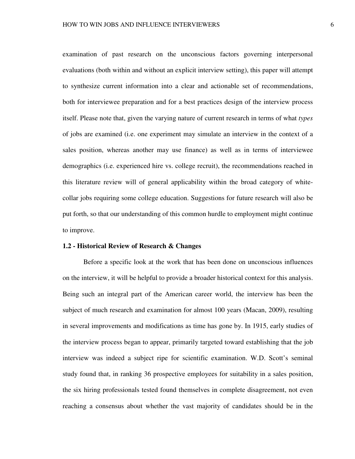examination of past research on the unconscious factors governing interpersonal evaluations (both within and without an explicit interview setting), this paper will attempt to synthesize current information into a clear and actionable set of recommendations, both for interviewee preparation and for a best practices design of the interview process itself. Please note that, given the varying nature of current research in terms of what *types*  of jobs are examined (i.e. one experiment may simulate an interview in the context of a sales position, whereas another may use finance) as well as in terms of interviewee demographics (i.e. experienced hire vs. college recruit), the recommendations reached in this literature review will of general applicability within the broad category of whitecollar jobs requiring some college education. Suggestions for future research will also be put forth, so that our understanding of this common hurdle to employment might continue to improve.

# **1.2 - Historical Review of Research & Changes**

 Before a specific look at the work that has been done on unconscious influences on the interview, it will be helpful to provide a broader historical context for this analysis. Being such an integral part of the American career world, the interview has been the subject of much research and examination for almost 100 years (Macan, 2009), resulting in several improvements and modifications as time has gone by. In 1915, early studies of the interview process began to appear, primarily targeted toward establishing that the job interview was indeed a subject ripe for scientific examination. W.D. Scott's seminal study found that, in ranking 36 prospective employees for suitability in a sales position, the six hiring professionals tested found themselves in complete disagreement, not even reaching a consensus about whether the vast majority of candidates should be in the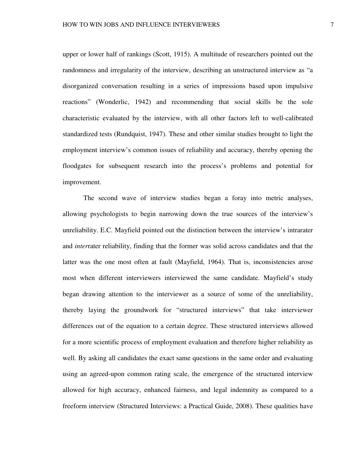upper or lower half of rankings (Scott, 1915). A multitude of researchers pointed out the randomness and irregularity of the interview, describing an unstructured interview as "a disorganized conversation resulting in a series of impressions based upon impulsive reactions" (Wonderlic, 1942) and recommending that social skills be the sole characteristic evaluated by the interview, with all other factors left to well-calibrated standardized tests (Rundquist, 1947). These and other similar studies brought to light the employment interview's common issues of reliability and accuracy, thereby opening the floodgates for subsequent research into the process's problems and potential for improvement.

The second wave of interview studies began a foray into metric analyses, allowing psychologists to begin narrowing down the true sources of the interview's unreliability. E.C. Mayfield pointed out the distinction between the interview's intrarater and *inter*rater reliability, finding that the former was solid across candidates and that the latter was the one most often at fault (Mayfield, 1964). That is, inconsistencies arose most when different interviewers interviewed the same candidate. Mayfield's study began drawing attention to the interviewer as a source of some of the unreliability, thereby laying the groundwork for "structured interviews" that take interviewer differences out of the equation to a certain degree. These structured interviews allowed for a more scientific process of employment evaluation and therefore higher reliability as well. By asking all candidates the exact same questions in the same order and evaluating using an agreed-upon common rating scale, the emergence of the structured interview allowed for high accuracy, enhanced fairness, and legal indemnity as compared to a freeform interview (Structured Interviews: a Practical Guide, 2008). These qualities have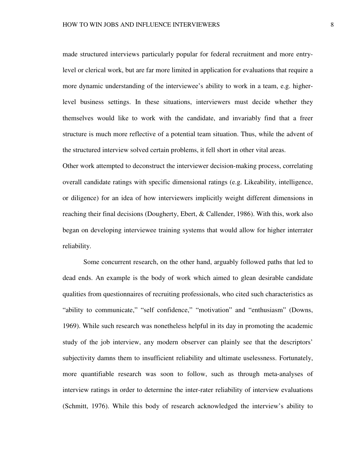made structured interviews particularly popular for federal recruitment and more entrylevel or clerical work, but are far more limited in application for evaluations that require a more dynamic understanding of the interviewee's ability to work in a team, e.g. higherlevel business settings. In these situations, interviewers must decide whether they themselves would like to work with the candidate, and invariably find that a freer structure is much more reflective of a potential team situation. Thus, while the advent of the structured interview solved certain problems, it fell short in other vital areas.

Other work attempted to deconstruct the interviewer decision-making process, correlating overall candidate ratings with specific dimensional ratings (e.g. Likeability, intelligence, or diligence) for an idea of how interviewers implicitly weight different dimensions in reaching their final decisions (Dougherty, Ebert, & Callender, 1986). With this, work also began on developing interviewee training systems that would allow for higher interrater reliability.

Some concurrent research, on the other hand, arguably followed paths that led to dead ends. An example is the body of work which aimed to glean desirable candidate qualities from questionnaires of recruiting professionals, who cited such characteristics as "ability to communicate," "self confidence," "motivation" and "enthusiasm" (Downs, 1969). While such research was nonetheless helpful in its day in promoting the academic study of the job interview, any modern observer can plainly see that the descriptors' subjectivity damns them to insufficient reliability and ultimate uselessness. Fortunately, more quantifiable research was soon to follow, such as through meta-analyses of interview ratings in order to determine the inter-rater reliability of interview evaluations (Schmitt, 1976). While this body of research acknowledged the interview's ability to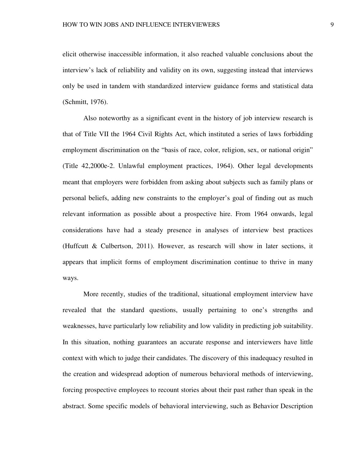elicit otherwise inaccessible information, it also reached valuable conclusions about the interview's lack of reliability and validity on its own, suggesting instead that interviews only be used in tandem with standardized interview guidance forms and statistical data (Schmitt, 1976).

Also noteworthy as a significant event in the history of job interview research is that of Title VII the 1964 Civil Rights Act, which instituted a series of laws forbidding employment discrimination on the "basis of race, color, religion, sex, or national origin" (Title 42,2000e-2. Unlawful employment practices, 1964). Other legal developments meant that employers were forbidden from asking about subjects such as family plans or personal beliefs, adding new constraints to the employer's goal of finding out as much relevant information as possible about a prospective hire. From 1964 onwards, legal considerations have had a steady presence in analyses of interview best practices (Huffcutt & Culbertson, 2011). However, as research will show in later sections, it appears that implicit forms of employment discrimination continue to thrive in many ways.

More recently, studies of the traditional, situational employment interview have revealed that the standard questions, usually pertaining to one's strengths and weaknesses, have particularly low reliability and low validity in predicting job suitability. In this situation, nothing guarantees an accurate response and interviewers have little context with which to judge their candidates. The discovery of this inadequacy resulted in the creation and widespread adoption of numerous behavioral methods of interviewing, forcing prospective employees to recount stories about their past rather than speak in the abstract. Some specific models of behavioral interviewing, such as Behavior Description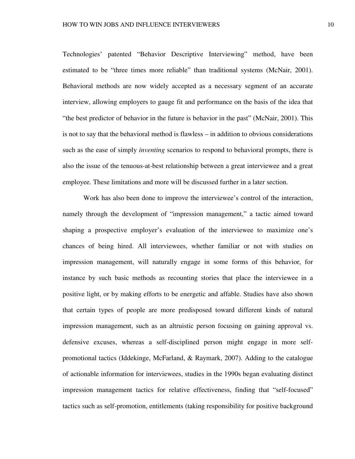Technologies' patented "Behavior Descriptive Interviewing" method, have been estimated to be "three times more reliable" than traditional systems (McNair, 2001). Behavioral methods are now widely accepted as a necessary segment of an accurate interview, allowing employers to gauge fit and performance on the basis of the idea that "the best predictor of behavior in the future is behavior in the past" (McNair, 2001). This is not to say that the behavioral method is flawless – in addition to obvious considerations such as the ease of simply *inventing* scenarios to respond to behavioral prompts, there is also the issue of the tenuous-at-best relationship between a great interviewee and a great employee. These limitations and more will be discussed further in a later section.

 Work has also been done to improve the interviewee's control of the interaction, namely through the development of "impression management," a tactic aimed toward shaping a prospective employer's evaluation of the interviewee to maximize one's chances of being hired. All interviewees, whether familiar or not with studies on impression management, will naturally engage in some forms of this behavior, for instance by such basic methods as recounting stories that place the interviewee in a positive light, or by making efforts to be energetic and affable. Studies have also shown that certain types of people are more predisposed toward different kinds of natural impression management, such as an altruistic person focusing on gaining approval vs. defensive excuses, whereas a self-disciplined person might engage in more selfpromotional tactics (Iddekinge, McFarland, & Raymark, 2007). Adding to the catalogue of actionable information for interviewees, studies in the 1990s began evaluating distinct impression management tactics for relative effectiveness, finding that "self-focused" tactics such as self-promotion, entitlements (taking responsibility for positive background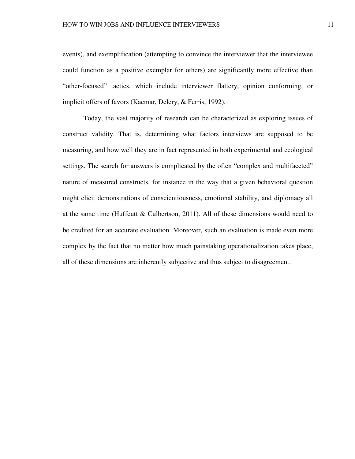events), and exemplification (attempting to convince the interviewer that the interviewee could function as a positive exemplar for others) are significantly more effective than "other-focused" tactics, which include interviewer flattery, opinion conforming, or implicit offers of favors (Kacmar, Delery, & Ferris, 1992).

 Today, the vast majority of research can be characterized as exploring issues of construct validity. That is, determining what factors interviews are supposed to be measuring, and how well they are in fact represented in both experimental and ecological settings. The search for answers is complicated by the often "complex and multifaceted" nature of measured constructs, for instance in the way that a given behavioral question might elicit demonstrations of conscientiousness, emotional stability, and diplomacy all at the same time (Huffcutt & Culbertson, 2011). All of these dimensions would need to be credited for an accurate evaluation. Moreover, such an evaluation is made even more complex by the fact that no matter how much painstaking operationalization takes place, all of these dimensions are inherently subjective and thus subject to disagreement.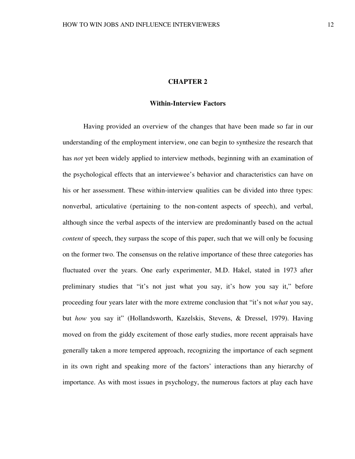# **CHAPTER 2**

# **Within-Interview Factors**

 Having provided an overview of the changes that have been made so far in our understanding of the employment interview, one can begin to synthesize the research that has *not* yet been widely applied to interview methods, beginning with an examination of the psychological effects that an interviewee's behavior and characteristics can have on his or her assessment. These within-interview qualities can be divided into three types: nonverbal, articulative (pertaining to the non-content aspects of speech), and verbal, although since the verbal aspects of the interview are predominantly based on the actual *content* of speech, they surpass the scope of this paper, such that we will only be focusing on the former two. The consensus on the relative importance of these three categories has fluctuated over the years. One early experimenter, M.D. Hakel, stated in 1973 after preliminary studies that "it's not just what you say, it's how you say it," before proceeding four years later with the more extreme conclusion that "it's not *what* you say, but *how* you say it" (Hollandsworth, Kazelskis, Stevens, & Dressel, 1979). Having moved on from the giddy excitement of those early studies, more recent appraisals have generally taken a more tempered approach, recognizing the importance of each segment in its own right and speaking more of the factors' interactions than any hierarchy of importance. As with most issues in psychology, the numerous factors at play each have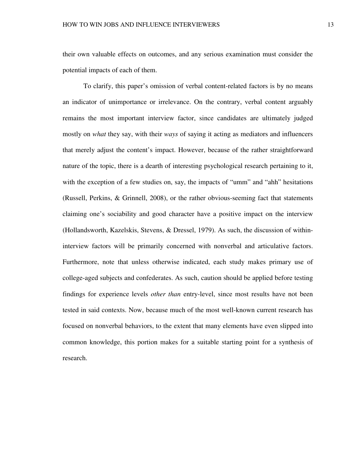their own valuable effects on outcomes, and any serious examination must consider the potential impacts of each of them.

 To clarify, this paper's omission of verbal content-related factors is by no means an indicator of unimportance or irrelevance. On the contrary, verbal content arguably remains the most important interview factor, since candidates are ultimately judged mostly on *what* they say, with their *ways* of saying it acting as mediators and influencers that merely adjust the content's impact. However, because of the rather straightforward nature of the topic, there is a dearth of interesting psychological research pertaining to it, with the exception of a few studies on, say, the impacts of "umm" and "ahh" hesitations (Russell, Perkins, & Grinnell, 2008), or the rather obvious-seeming fact that statements claiming one's sociability and good character have a positive impact on the interview (Hollandsworth, Kazelskis, Stevens, & Dressel, 1979). As such, the discussion of withininterview factors will be primarily concerned with nonverbal and articulative factors. Furthermore, note that unless otherwise indicated, each study makes primary use of college-aged subjects and confederates. As such, caution should be applied before testing findings for experience levels *other than* entry-level, since most results have not been tested in said contexts. Now, because much of the most well-known current research has focused on nonverbal behaviors, to the extent that many elements have even slipped into common knowledge, this portion makes for a suitable starting point for a synthesis of research.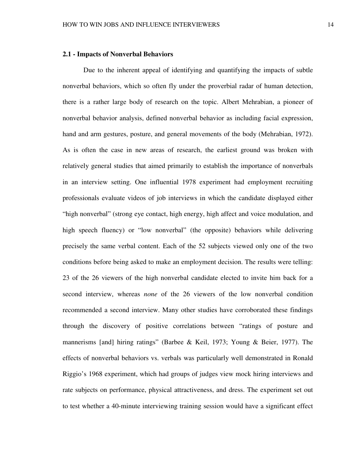# **2.1 - Impacts of Nonverbal Behaviors**

 Due to the inherent appeal of identifying and quantifying the impacts of subtle nonverbal behaviors, which so often fly under the proverbial radar of human detection, there is a rather large body of research on the topic. Albert Mehrabian, a pioneer of nonverbal behavior analysis, defined nonverbal behavior as including facial expression, hand and arm gestures, posture, and general movements of the body (Mehrabian, 1972). As is often the case in new areas of research, the earliest ground was broken with relatively general studies that aimed primarily to establish the importance of nonverbals in an interview setting. One influential 1978 experiment had employment recruiting professionals evaluate videos of job interviews in which the candidate displayed either "high nonverbal" (strong eye contact, high energy, high affect and voice modulation, and high speech fluency) or "low nonverbal" (the opposite) behaviors while delivering precisely the same verbal content. Each of the 52 subjects viewed only one of the two conditions before being asked to make an employment decision. The results were telling: 23 of the 26 viewers of the high nonverbal candidate elected to invite him back for a second interview, whereas *none* of the 26 viewers of the low nonverbal condition recommended a second interview. Many other studies have corroborated these findings through the discovery of positive correlations between "ratings of posture and mannerisms [and] hiring ratings" (Barbee & Keil, 1973; Young & Beier, 1977). The effects of nonverbal behaviors vs. verbals was particularly well demonstrated in Ronald Riggio's 1968 experiment, which had groups of judges view mock hiring interviews and rate subjects on performance, physical attractiveness, and dress. The experiment set out to test whether a 40-minute interviewing training session would have a significant effect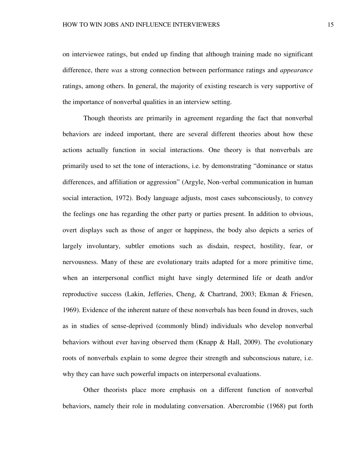on interviewee ratings, but ended up finding that although training made no significant difference, there *was* a strong connection between performance ratings and *appearance*  ratings, among others. In general, the majority of existing research is very supportive of the importance of nonverbal qualities in an interview setting.

 Though theorists are primarily in agreement regarding the fact that nonverbal behaviors are indeed important, there are several different theories about how these actions actually function in social interactions. One theory is that nonverbals are primarily used to set the tone of interactions, i.e. by demonstrating "dominance or status differences, and affiliation or aggression" (Argyle, Non-verbal communication in human social interaction, 1972). Body language adjusts, most cases subconsciously, to convey the feelings one has regarding the other party or parties present. In addition to obvious, overt displays such as those of anger or happiness, the body also depicts a series of largely involuntary, subtler emotions such as disdain, respect, hostility, fear, or nervousness. Many of these are evolutionary traits adapted for a more primitive time, when an interpersonal conflict might have singly determined life or death and/or reproductive success (Lakin, Jefferies, Cheng, & Chartrand, 2003; Ekman & Friesen, 1969). Evidence of the inherent nature of these nonverbals has been found in droves, such as in studies of sense-deprived (commonly blind) individuals who develop nonverbal behaviors without ever having observed them (Knapp & Hall, 2009). The evolutionary roots of nonverbals explain to some degree their strength and subconscious nature, i.e. why they can have such powerful impacts on interpersonal evaluations.

 Other theorists place more emphasis on a different function of nonverbal behaviors, namely their role in modulating conversation. Abercrombie (1968) put forth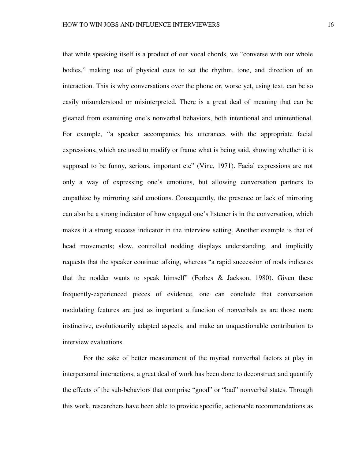that while speaking itself is a product of our vocal chords, we "converse with our whole bodies," making use of physical cues to set the rhythm, tone, and direction of an interaction. This is why conversations over the phone or, worse yet, using text, can be so easily misunderstood or misinterpreted. There is a great deal of meaning that can be gleaned from examining one's nonverbal behaviors, both intentional and unintentional. For example, "a speaker accompanies his utterances with the appropriate facial expressions, which are used to modify or frame what is being said, showing whether it is supposed to be funny, serious, important etc" (Vine, 1971). Facial expressions are not only a way of expressing one's emotions, but allowing conversation partners to empathize by mirroring said emotions. Consequently, the presence or lack of mirroring can also be a strong indicator of how engaged one's listener is in the conversation, which makes it a strong success indicator in the interview setting. Another example is that of head movements; slow, controlled nodding displays understanding, and implicitly requests that the speaker continue talking, whereas "a rapid succession of nods indicates that the nodder wants to speak himself" (Forbes & Jackson, 1980). Given these frequently-experienced pieces of evidence, one can conclude that conversation modulating features are just as important a function of nonverbals as are those more instinctive, evolutionarily adapted aspects, and make an unquestionable contribution to interview evaluations.

 For the sake of better measurement of the myriad nonverbal factors at play in interpersonal interactions, a great deal of work has been done to deconstruct and quantify the effects of the sub-behaviors that comprise "good" or "bad" nonverbal states. Through this work, researchers have been able to provide specific, actionable recommendations as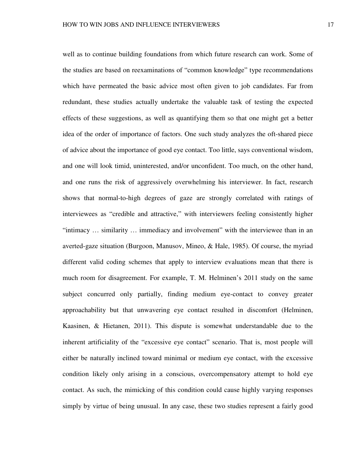well as to continue building foundations from which future research can work. Some of the studies are based on reexaminations of "common knowledge" type recommendations which have permeated the basic advice most often given to job candidates. Far from redundant, these studies actually undertake the valuable task of testing the expected effects of these suggestions, as well as quantifying them so that one might get a better idea of the order of importance of factors. One such study analyzes the oft-shared piece of advice about the importance of good eye contact. Too little, says conventional wisdom, and one will look timid, uninterested, and/or unconfident. Too much, on the other hand, and one runs the risk of aggressively overwhelming his interviewer. In fact, research shows that normal-to-high degrees of gaze are strongly correlated with ratings of interviewees as "credible and attractive," with interviewers feeling consistently higher "intimacy … similarity … immediacy and involvement" with the interviewee than in an averted-gaze situation (Burgoon, Manusov, Mineo, & Hale, 1985). Of course, the myriad different valid coding schemes that apply to interview evaluations mean that there is much room for disagreement. For example, T. M. Helminen's 2011 study on the same subject concurred only partially, finding medium eye-contact to convey greater approachability but that unwavering eye contact resulted in discomfort (Helminen, Kaasinen, & Hietanen, 2011). This dispute is somewhat understandable due to the inherent artificiality of the "excessive eye contact" scenario. That is, most people will either be naturally inclined toward minimal or medium eye contact, with the excessive condition likely only arising in a conscious, overcompensatory attempt to hold eye contact. As such, the mimicking of this condition could cause highly varying responses simply by virtue of being unusual. In any case, these two studies represent a fairly good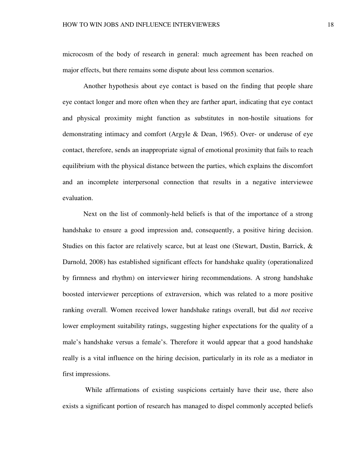microcosm of the body of research in general: much agreement has been reached on major effects, but there remains some dispute about less common scenarios.

 Another hypothesis about eye contact is based on the finding that people share eye contact longer and more often when they are farther apart, indicating that eye contact and physical proximity might function as substitutes in non-hostile situations for demonstrating intimacy and comfort (Argyle & Dean, 1965). Over- or underuse of eye contact, therefore, sends an inappropriate signal of emotional proximity that fails to reach equilibrium with the physical distance between the parties, which explains the discomfort and an incomplete interpersonal connection that results in a negative interviewee evaluation.

 Next on the list of commonly-held beliefs is that of the importance of a strong handshake to ensure a good impression and, consequently, a positive hiring decision. Studies on this factor are relatively scarce, but at least one (Stewart, Dustin, Barrick, & Darnold, 2008) has established significant effects for handshake quality (operationalized by firmness and rhythm) on interviewer hiring recommendations. A strong handshake boosted interviewer perceptions of extraversion, which was related to a more positive ranking overall. Women received lower handshake ratings overall, but did *not* receive lower employment suitability ratings, suggesting higher expectations for the quality of a male's handshake versus a female's. Therefore it would appear that a good handshake really is a vital influence on the hiring decision, particularly in its role as a mediator in first impressions.

 While affirmations of existing suspicions certainly have their use, there also exists a significant portion of research has managed to dispel commonly accepted beliefs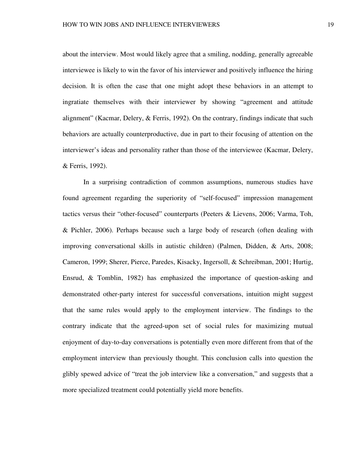about the interview. Most would likely agree that a smiling, nodding, generally agreeable interviewee is likely to win the favor of his interviewer and positively influence the hiring decision. It is often the case that one might adopt these behaviors in an attempt to ingratiate themselves with their interviewer by showing "agreement and attitude alignment" (Kacmar, Delery, & Ferris, 1992). On the contrary, findings indicate that such behaviors are actually counterproductive, due in part to their focusing of attention on the interviewer's ideas and personality rather than those of the interviewee (Kacmar, Delery, & Ferris, 1992).

In a surprising contradiction of common assumptions, numerous studies have found agreement regarding the superiority of "self-focused" impression management tactics versus their "other-focused" counterparts (Peeters & Lievens, 2006; Varma, Toh, & Pichler, 2006). Perhaps because such a large body of research (often dealing with improving conversational skills in autistic children) (Palmen, Didden, & Arts, 2008; Cameron, 1999; Sherer, Pierce, Paredes, Kisacky, Ingersoll, & Schreibman, 2001; Hurtig, Ensrud, & Tomblin, 1982) has emphasized the importance of question-asking and demonstrated other-party interest for successful conversations, intuition might suggest that the same rules would apply to the employment interview. The findings to the contrary indicate that the agreed-upon set of social rules for maximizing mutual enjoyment of day-to-day conversations is potentially even more different from that of the employment interview than previously thought. This conclusion calls into question the glibly spewed advice of "treat the job interview like a conversation," and suggests that a more specialized treatment could potentially yield more benefits.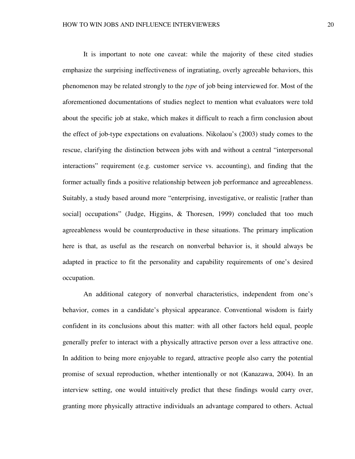It is important to note one caveat: while the majority of these cited studies emphasize the surprising ineffectiveness of ingratiating, overly agreeable behaviors, this phenomenon may be related strongly to the *type* of job being interviewed for. Most of the aforementioned documentations of studies neglect to mention what evaluators were told about the specific job at stake, which makes it difficult to reach a firm conclusion about the effect of job-type expectations on evaluations. Nikolaou's (2003) study comes to the rescue, clarifying the distinction between jobs with and without a central "interpersonal interactions" requirement (e.g. customer service vs. accounting), and finding that the former actually finds a positive relationship between job performance and agreeableness. Suitably, a study based around more "enterprising, investigative, or realistic [rather than social] occupations" (Judge, Higgins, & Thoresen, 1999) concluded that too much agreeableness would be counterproductive in these situations. The primary implication here is that, as useful as the research on nonverbal behavior is, it should always be adapted in practice to fit the personality and capability requirements of one's desired occupation.

An additional category of nonverbal characteristics, independent from one's behavior, comes in a candidate's physical appearance. Conventional wisdom is fairly confident in its conclusions about this matter: with all other factors held equal, people generally prefer to interact with a physically attractive person over a less attractive one. In addition to being more enjoyable to regard, attractive people also carry the potential promise of sexual reproduction, whether intentionally or not (Kanazawa, 2004). In an interview setting, one would intuitively predict that these findings would carry over, granting more physically attractive individuals an advantage compared to others. Actual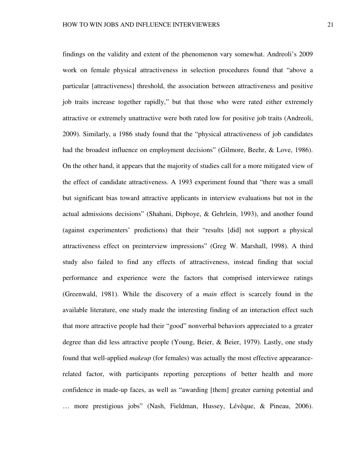findings on the validity and extent of the phenomenon vary somewhat. Andreoli's 2009 work on female physical attractiveness in selection procedures found that "above a particular [attractiveness] threshold, the association between attractiveness and positive job traits increase together rapidly," but that those who were rated either extremely attractive or extremely unattractive were both rated low for positive job traits (Andreoli, 2009). Similarly, a 1986 study found that the "physical attractiveness of job candidates had the broadest influence on employment decisions" (Gilmore, Beehr, & Love, 1986). On the other hand, it appears that the majority of studies call for a more mitigated view of the effect of candidate attractiveness. A 1993 experiment found that "there was a small but significant bias toward attractive applicants in interview evaluations but not in the actual admissions decisions" (Shahani, Dipboye, & Gehrlein, 1993), and another found (against experimenters' predictions) that their "results [did] not support a physical attractiveness effect on preinterview impressions" (Greg W. Marshall, 1998). A third study also failed to find any effects of attractiveness, instead finding that social performance and experience were the factors that comprised interviewee ratings (Greenwald, 1981). While the discovery of a *main* effect is scarcely found in the available literature, one study made the interesting finding of an interaction effect such that more attractive people had their "good" nonverbal behaviors appreciated to a greater degree than did less attractive people (Young, Beier, & Beier, 1979). Lastly, one study found that well-applied *makeup* (for females) was actually the most effective appearancerelated factor, with participants reporting perceptions of better health and more confidence in made-up faces, as well as "awarding [them] greater earning potential and … more prestigious jobs" (Nash, Fieldman, Hussey, Lévêque, & Pineau, 2006).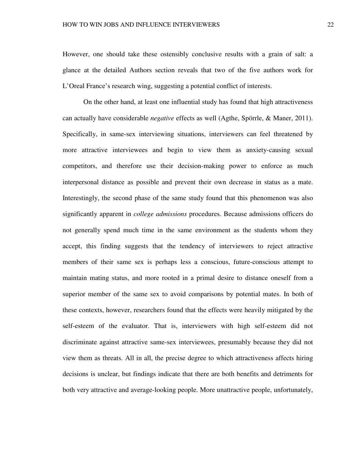However, one should take these ostensibly conclusive results with a grain of salt: a glance at the detailed Authors section reveals that two of the five authors work for L'Oreal France's research wing, suggesting a potential conflict of interests.

 On the other hand, at least one influential study has found that high attractiveness can actually have considerable *negative* effects as well (Agthe, Spörrle, & Maner, 2011). Specifically, in same-sex interviewing situations, interviewers can feel threatened by more attractive interviewees and begin to view them as anxiety-causing sexual competitors, and therefore use their decision-making power to enforce as much interpersonal distance as possible and prevent their own decrease in status as a mate. Interestingly, the second phase of the same study found that this phenomenon was also significantly apparent in *college admissions* procedures. Because admissions officers do not generally spend much time in the same environment as the students whom they accept, this finding suggests that the tendency of interviewers to reject attractive members of their same sex is perhaps less a conscious, future-conscious attempt to maintain mating status, and more rooted in a primal desire to distance oneself from a superior member of the same sex to avoid comparisons by potential mates. In both of these contexts, however, researchers found that the effects were heavily mitigated by the self-esteem of the evaluator. That is, interviewers with high self-esteem did not discriminate against attractive same-sex interviewees, presumably because they did not view them as threats. All in all, the precise degree to which attractiveness affects hiring decisions is unclear, but findings indicate that there are both benefits and detriments for both very attractive and average-looking people. More unattractive people, unfortunately,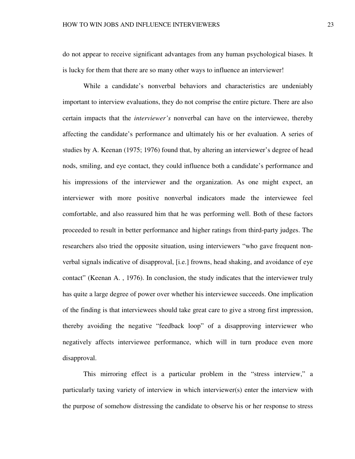do not appear to receive significant advantages from any human psychological biases. It is lucky for them that there are so many other ways to influence an interviewer!

 While a candidate's nonverbal behaviors and characteristics are undeniably important to interview evaluations, they do not comprise the entire picture. There are also certain impacts that the *interviewer's* nonverbal can have on the interviewee, thereby affecting the candidate's performance and ultimately his or her evaluation. A series of studies by A. Keenan (1975; 1976) found that, by altering an interviewer's degree of head nods, smiling, and eye contact, they could influence both a candidate's performance and his impressions of the interviewer and the organization. As one might expect, an interviewer with more positive nonverbal indicators made the interviewee feel comfortable, and also reassured him that he was performing well. Both of these factors proceeded to result in better performance and higher ratings from third-party judges. The researchers also tried the opposite situation, using interviewers "who gave frequent nonverbal signals indicative of disapproval, [i.e.] frowns, head shaking, and avoidance of eye contact" (Keenan A. , 1976). In conclusion, the study indicates that the interviewer truly has quite a large degree of power over whether his interviewee succeeds. One implication of the finding is that interviewees should take great care to give a strong first impression, thereby avoiding the negative "feedback loop" of a disapproving interviewer who negatively affects interviewee performance, which will in turn produce even more disapproval.

This mirroring effect is a particular problem in the "stress interview," a particularly taxing variety of interview in which interviewer(s) enter the interview with the purpose of somehow distressing the candidate to observe his or her response to stress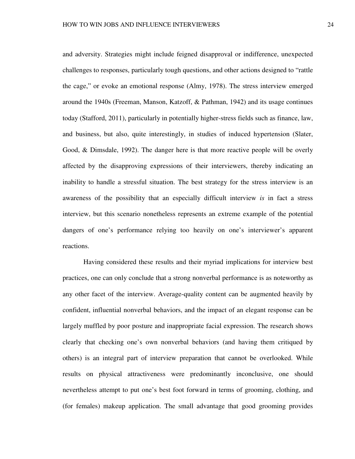and adversity. Strategies might include feigned disapproval or indifference, unexpected challenges to responses, particularly tough questions, and other actions designed to "rattle the cage," or evoke an emotional response (Almy, 1978). The stress interview emerged around the 1940s (Freeman, Manson, Katzoff, & Pathman, 1942) and its usage continues today (Stafford, 2011), particularly in potentially higher-stress fields such as finance, law, and business, but also, quite interestingly, in studies of induced hypertension (Slater, Good, & Dimsdale, 1992). The danger here is that more reactive people will be overly affected by the disapproving expressions of their interviewers, thereby indicating an inability to handle a stressful situation. The best strategy for the stress interview is an awareness of the possibility that an especially difficult interview *is* in fact a stress interview, but this scenario nonetheless represents an extreme example of the potential dangers of one's performance relying too heavily on one's interviewer's apparent reactions.

 Having considered these results and their myriad implications for interview best practices, one can only conclude that a strong nonverbal performance is as noteworthy as any other facet of the interview. Average-quality content can be augmented heavily by confident, influential nonverbal behaviors, and the impact of an elegant response can be largely muffled by poor posture and inappropriate facial expression. The research shows clearly that checking one's own nonverbal behaviors (and having them critiqued by others) is an integral part of interview preparation that cannot be overlooked. While results on physical attractiveness were predominantly inconclusive, one should nevertheless attempt to put one's best foot forward in terms of grooming, clothing, and (for females) makeup application. The small advantage that good grooming provides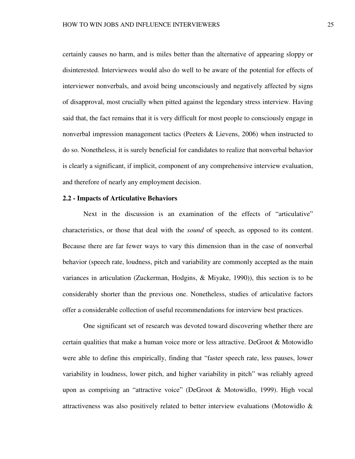certainly causes no harm, and is miles better than the alternative of appearing sloppy or disinterested. Interviewees would also do well to be aware of the potential for effects of interviewer nonverbals, and avoid being unconsciously and negatively affected by signs of disapproval, most crucially when pitted against the legendary stress interview. Having said that, the fact remains that it is very difficult for most people to consciously engage in nonverbal impression management tactics (Peeters & Lievens, 2006) when instructed to do so. Nonetheless, it is surely beneficial for candidates to realize that nonverbal behavior is clearly a significant, if implicit, component of any comprehensive interview evaluation, and therefore of nearly any employment decision.

# **2.2 - Impacts of Articulative Behaviors**

 Next in the discussion is an examination of the effects of "articulative" characteristics, or those that deal with the *sound* of speech, as opposed to its content. Because there are far fewer ways to vary this dimension than in the case of nonverbal behavior (speech rate, loudness, pitch and variability are commonly accepted as the main variances in articulation (Zuckerman, Hodgins, & Miyake, 1990)), this section is to be considerably shorter than the previous one. Nonetheless, studies of articulative factors offer a considerable collection of useful recommendations for interview best practices.

 One significant set of research was devoted toward discovering whether there are certain qualities that make a human voice more or less attractive. DeGroot & Motowidlo were able to define this empirically, finding that "faster speech rate, less pauses, lower variability in loudness, lower pitch, and higher variability in pitch" was reliably agreed upon as comprising an "attractive voice" (DeGroot & Motowidlo, 1999). High vocal attractiveness was also positively related to better interview evaluations (Motowidlo &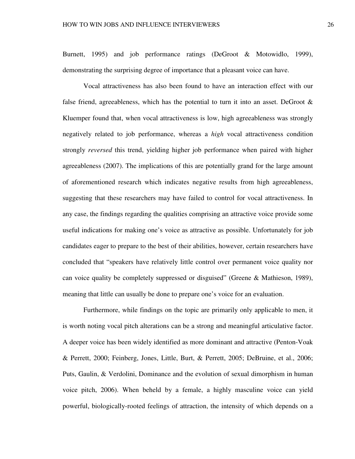Burnett, 1995) and job performance ratings (DeGroot & Motowidlo, 1999), demonstrating the surprising degree of importance that a pleasant voice can have.

Vocal attractiveness has also been found to have an interaction effect with our false friend, agreeableness, which has the potential to turn it into an asset. DeGroot  $\&$ Kluemper found that, when vocal attractiveness is low, high agreeableness was strongly negatively related to job performance, whereas a *high* vocal attractiveness condition strongly *reversed* this trend, yielding higher job performance when paired with higher agreeableness (2007). The implications of this are potentially grand for the large amount of aforementioned research which indicates negative results from high agreeableness, suggesting that these researchers may have failed to control for vocal attractiveness. In any case, the findings regarding the qualities comprising an attractive voice provide some useful indications for making one's voice as attractive as possible. Unfortunately for job candidates eager to prepare to the best of their abilities, however, certain researchers have concluded that "speakers have relatively little control over permanent voice quality nor can voice quality be completely suppressed or disguised" (Greene & Mathieson, 1989), meaning that little can usually be done to prepare one's voice for an evaluation.

Furthermore, while findings on the topic are primarily only applicable to men, it is worth noting vocal pitch alterations can be a strong and meaningful articulative factor. A deeper voice has been widely identified as more dominant and attractive (Penton-Voak & Perrett, 2000; Feinberg, Jones, Little, Burt, & Perrett, 2005; DeBruine, et al., 2006; Puts, Gaulin, & Verdolini, Dominance and the evolution of sexual dimorphism in human voice pitch, 2006). When beheld by a female, a highly masculine voice can yield powerful, biologically-rooted feelings of attraction, the intensity of which depends on a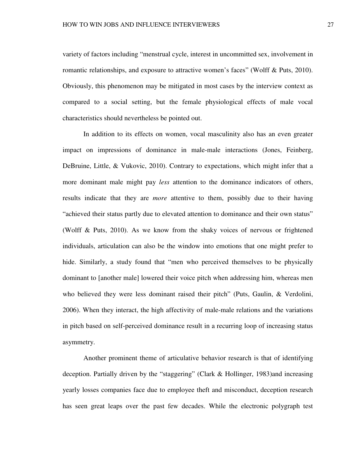variety of factors including "menstrual cycle, interest in uncommitted sex, involvement in romantic relationships, and exposure to attractive women's faces" (Wolff & Puts, 2010). Obviously, this phenomenon may be mitigated in most cases by the interview context as compared to a social setting, but the female physiological effects of male vocal characteristics should nevertheless be pointed out.

In addition to its effects on women, vocal masculinity also has an even greater impact on impressions of dominance in male-male interactions (Jones, Feinberg, DeBruine, Little, & Vukovic, 2010). Contrary to expectations, which might infer that a more dominant male might pay *less* attention to the dominance indicators of others, results indicate that they are *more* attentive to them, possibly due to their having "achieved their status partly due to elevated attention to dominance and their own status" (Wolff & Puts, 2010). As we know from the shaky voices of nervous or frightened individuals, articulation can also be the window into emotions that one might prefer to hide. Similarly, a study found that "men who perceived themselves to be physically dominant to [another male] lowered their voice pitch when addressing him, whereas men who believed they were less dominant raised their pitch" (Puts, Gaulin, & Verdolini, 2006). When they interact, the high affectivity of male-male relations and the variations in pitch based on self-perceived dominance result in a recurring loop of increasing status asymmetry.

Another prominent theme of articulative behavior research is that of identifying deception. Partially driven by the "staggering" (Clark & Hollinger, 1983)and increasing yearly losses companies face due to employee theft and misconduct, deception research has seen great leaps over the past few decades. While the electronic polygraph test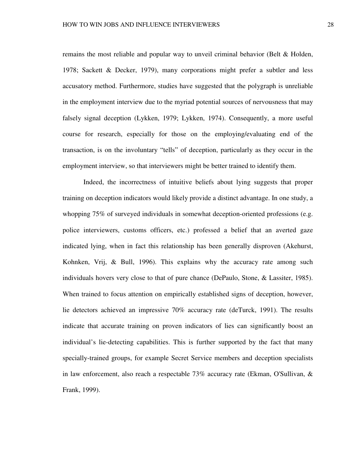remains the most reliable and popular way to unveil criminal behavior (Belt & Holden, 1978; Sackett & Decker, 1979), many corporations might prefer a subtler and less accusatory method. Furthermore, studies have suggested that the polygraph is unreliable in the employment interview due to the myriad potential sources of nervousness that may falsely signal deception (Lykken, 1979; Lykken, 1974). Consequently, a more useful course for research, especially for those on the employing/evaluating end of the transaction, is on the involuntary "tells" of deception, particularly as they occur in the employment interview, so that interviewers might be better trained to identify them.

Indeed, the incorrectness of intuitive beliefs about lying suggests that proper training on deception indicators would likely provide a distinct advantage. In one study, a whopping 75% of surveyed individuals in somewhat deception-oriented professions (e.g. police interviewers, customs officers, etc.) professed a belief that an averted gaze indicated lying, when in fact this relationship has been generally disproven (Akehurst, Kohnken, Vrij, & Bull, 1996). This explains why the accuracy rate among such individuals hovers very close to that of pure chance (DePaulo, Stone, & Lassiter, 1985). When trained to focus attention on empirically established signs of deception, however, lie detectors achieved an impressive 70% accuracy rate (deTurck, 1991). The results indicate that accurate training on proven indicators of lies can significantly boost an individual's lie-detecting capabilities. This is further supported by the fact that many specially-trained groups, for example Secret Service members and deception specialists in law enforcement, also reach a respectable 73% accuracy rate (Ekman, O'Sullivan, & Frank, 1999).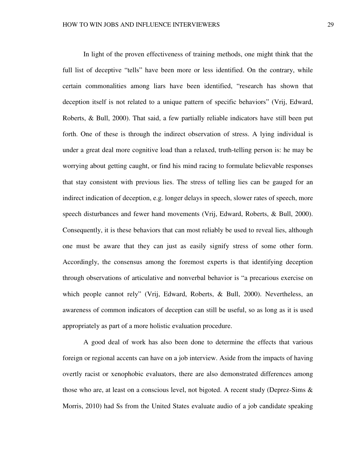In light of the proven effectiveness of training methods, one might think that the full list of deceptive "tells" have been more or less identified. On the contrary, while certain commonalities among liars have been identified, "research has shown that deception itself is not related to a unique pattern of specific behaviors" (Vrij, Edward, Roberts, & Bull, 2000). That said, a few partially reliable indicators have still been put forth. One of these is through the indirect observation of stress. A lying individual is under a great deal more cognitive load than a relaxed, truth-telling person is: he may be worrying about getting caught, or find his mind racing to formulate believable responses that stay consistent with previous lies. The stress of telling lies can be gauged for an indirect indication of deception, e.g. longer delays in speech, slower rates of speech, more speech disturbances and fewer hand movements (Vrij, Edward, Roberts, & Bull, 2000). Consequently, it is these behaviors that can most reliably be used to reveal lies, although one must be aware that they can just as easily signify stress of some other form. Accordingly, the consensus among the foremost experts is that identifying deception through observations of articulative and nonverbal behavior is "a precarious exercise on which people cannot rely" (Vrij, Edward, Roberts, & Bull, 2000). Nevertheless, an awareness of common indicators of deception can still be useful, so as long as it is used appropriately as part of a more holistic evaluation procedure.

A good deal of work has also been done to determine the effects that various foreign or regional accents can have on a job interview. Aside from the impacts of having overtly racist or xenophobic evaluators, there are also demonstrated differences among those who are, at least on a conscious level, not bigoted. A recent study (Deprez-Sims & Morris, 2010) had Ss from the United States evaluate audio of a job candidate speaking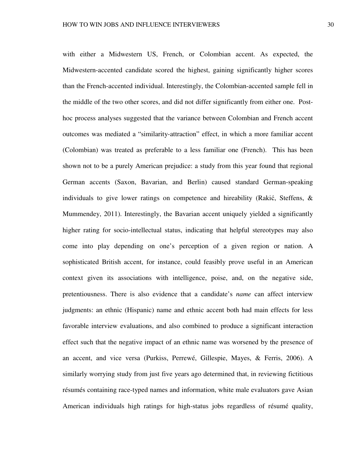with either a Midwestern US, French, or Colombian accent. As expected, the Midwestern-accented candidate scored the highest, gaining significantly higher scores than the French-accented individual. Interestingly, the Colombian-accented sample fell in the middle of the two other scores, and did not differ significantly from either one. Posthoc process analyses suggested that the variance between Colombian and French accent outcomes was mediated a "similarity-attraction" effect, in which a more familiar accent (Colombian) was treated as preferable to a less familiar one (French). This has been shown not to be a purely American prejudice: a study from this year found that regional German accents (Saxon, Bavarian, and Berlin) caused standard German-speaking individuals to give lower ratings on competence and hireability (Rakić, Steffens, & Mummendey, 2011). Interestingly, the Bavarian accent uniquely yielded a significantly higher rating for socio-intellectual status, indicating that helpful stereotypes may also come into play depending on one's perception of a given region or nation. A sophisticated British accent, for instance, could feasibly prove useful in an American context given its associations with intelligence, poise, and, on the negative side, pretentiousness. There is also evidence that a candidate's *name* can affect interview judgments: an ethnic (Hispanic) name and ethnic accent both had main effects for less favorable interview evaluations, and also combined to produce a significant interaction effect such that the negative impact of an ethnic name was worsened by the presence of an accent, and vice versa (Purkiss, Perrewé, Gillespie, Mayes, & Ferris, 2006). A similarly worrying study from just five years ago determined that, in reviewing fictitious résumés containing race-typed names and information, white male evaluators gave Asian American individuals high ratings for high-status jobs regardless of résumé quality,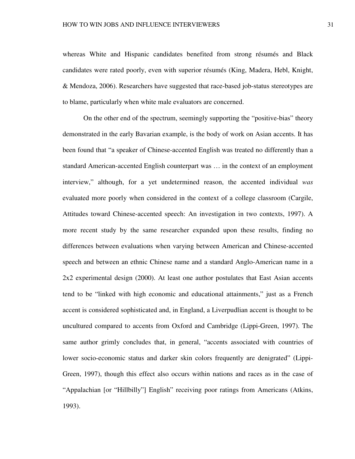whereas White and Hispanic candidates benefited from strong résumés and Black candidates were rated poorly, even with superior résumés (King, Madera, Hebl, Knight, & Mendoza, 2006). Researchers have suggested that race-based job-status stereotypes are to blame, particularly when white male evaluators are concerned.

On the other end of the spectrum, seemingly supporting the "positive-bias" theory demonstrated in the early Bavarian example, is the body of work on Asian accents. It has been found that "a speaker of Chinese-accented English was treated no differently than a standard American-accented English counterpart was … in the context of an employment interview," although, for a yet undetermined reason, the accented individual *was*  evaluated more poorly when considered in the context of a college classroom (Cargile, Attitudes toward Chinese-accented speech: An investigation in two contexts, 1997). A more recent study by the same researcher expanded upon these results, finding no differences between evaluations when varying between American and Chinese-accented speech and between an ethnic Chinese name and a standard Anglo-American name in a 2x2 experimental design (2000). At least one author postulates that East Asian accents tend to be "linked with high economic and educational attainments," just as a French accent is considered sophisticated and, in England, a Liverpudlian accent is thought to be uncultured compared to accents from Oxford and Cambridge (Lippi-Green, 1997). The same author grimly concludes that, in general, "accents associated with countries of lower socio-economic status and darker skin colors frequently are denigrated" (Lippi-Green, 1997), though this effect also occurs within nations and races as in the case of "Appalachian [or "Hillbilly"] English" receiving poor ratings from Americans (Atkins, 1993).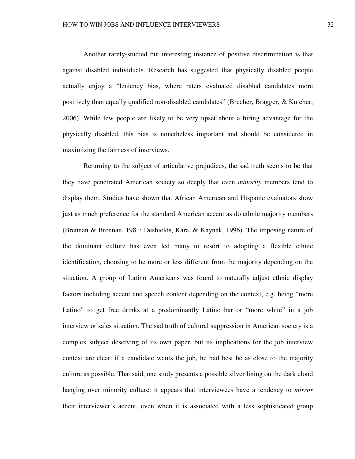Another rarely-studied but interesting instance of positive discrimination is that against disabled individuals. Research has suggested that physically disabled people actually enjoy a "leniency bias, where raters evaluated disabled candidates more positively than equally qualified non-disabled candidates" (Brecher, Bragger, & Kutcher, 2006). While few people are likely to be very upset about a hiring advantage for the physically disabled, this bias is nonetheless important and should be considered in maximizing the fairness of interviews.

Returning to the subject of articulative prejudices, the sad truth seems to be that they have penetrated American society so deeply that even *minority* members tend to display them. Studies have shown that African American and Hispanic evaluators show just as much preference for the standard American accent as do ethnic majority members (Brennan & Brennan, 1981; Deshields, Kara, & Kaynak, 1996). The imposing nature of the dominant culture has even led many to resort to adopting a flexible ethnic identification, choosing to be more or less different from the majority depending on the situation. A group of Latino Americans was found to naturally adjust ethnic display factors including accent and speech content depending on the context, e.g. being "more Latino" to get free drinks at a predominantly Latino bar or "more white" in a job interview or sales situation. The sad truth of cultural suppression in American society is a complex subject deserving of its own paper, but its implications for the job interview context are clear: if a candidate wants the job, he had best be as close to the majority culture as possible. That said, one study presents a possible silver lining on the dark cloud hanging over minority culture: it appears that interviewees have a tendency to *mirror*  their interviewer's accent, even when it is associated with a less sophisticated group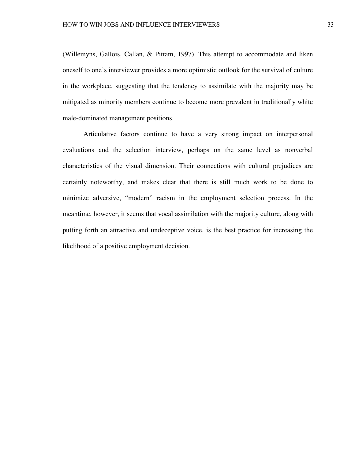(Willemyns, Gallois, Callan, & Pittam, 1997). This attempt to accommodate and liken oneself to one's interviewer provides a more optimistic outlook for the survival of culture in the workplace, suggesting that the tendency to assimilate with the majority may be mitigated as minority members continue to become more prevalent in traditionally white male-dominated management positions.

Articulative factors continue to have a very strong impact on interpersonal evaluations and the selection interview, perhaps on the same level as nonverbal characteristics of the visual dimension. Their connections with cultural prejudices are certainly noteworthy, and makes clear that there is still much work to be done to minimize adversive, "modern" racism in the employment selection process. In the meantime, however, it seems that vocal assimilation with the majority culture, along with putting forth an attractive and undeceptive voice, is the best practice for increasing the likelihood of a positive employment decision.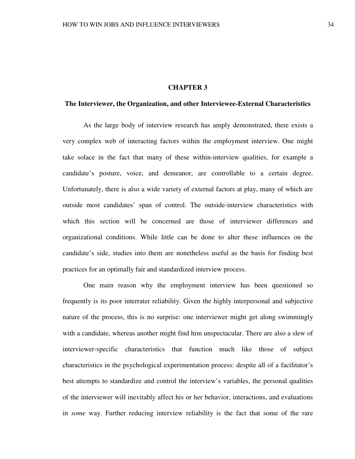# **CHAPTER 3**

## **The Interviewer, the Organization, and other Interviewee-External Characteristics**

As the large body of interview research has amply demonstrated, there exists a very complex web of interacting factors within the employment interview. One might take solace in the fact that many of these within-interview qualities, for example a candidate's posture, voice, and demeanor, are controllable to a certain degree. Unfortunately, there is also a wide variety of external factors at play, many of which are outside most candidates' span of control. The outside-interview characteristics with which this section will be concerned are those of interviewer differences and organizational conditions. While little can be done to alter these influences on the candidate's side, studies into them are nonetheless useful as the basis for finding best practices for an optimally fair and standardized interview process.

One main reason why the employment interview has been questioned so frequently is its poor interrater reliability. Given the highly interpersonal and subjective nature of the process, this is no surprise: one interviewer might get along swimmingly with a candidate, whereas another might find him unspectacular. There are also a slew of interviewer-specific characteristics that function much like those of subject characteristics in the psychological experimentation process: despite all of a facilitator's best attempts to standardize and control the interview's variables, the personal qualities of the interviewer will inevitably affect his or her behavior, interactions, and evaluations in *some* way. Further reducing interview reliability is the fact that some of the rare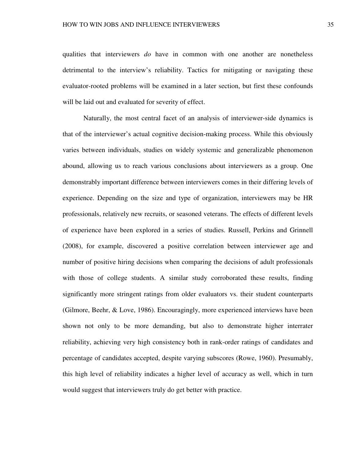qualities that interviewers *do* have in common with one another are nonetheless detrimental to the interview's reliability. Tactics for mitigating or navigating these evaluator-rooted problems will be examined in a later section, but first these confounds will be laid out and evaluated for severity of effect.

Naturally, the most central facet of an analysis of interviewer-side dynamics is that of the interviewer's actual cognitive decision-making process. While this obviously varies between individuals, studies on widely systemic and generalizable phenomenon abound, allowing us to reach various conclusions about interviewers as a group. One demonstrably important difference between interviewers comes in their differing levels of experience. Depending on the size and type of organization, interviewers may be HR professionals, relatively new recruits, or seasoned veterans. The effects of different levels of experience have been explored in a series of studies. Russell, Perkins and Grinnell (2008), for example, discovered a positive correlation between interviewer age and number of positive hiring decisions when comparing the decisions of adult professionals with those of college students. A similar study corroborated these results, finding significantly more stringent ratings from older evaluators vs. their student counterparts (Gilmore, Beehr, & Love, 1986). Encouragingly, more experienced interviews have been shown not only to be more demanding, but also to demonstrate higher interrater reliability, achieving very high consistency both in rank-order ratings of candidates and percentage of candidates accepted, despite varying subscores (Rowe, 1960). Presumably, this high level of reliability indicates a higher level of accuracy as well, which in turn would suggest that interviewers truly do get better with practice.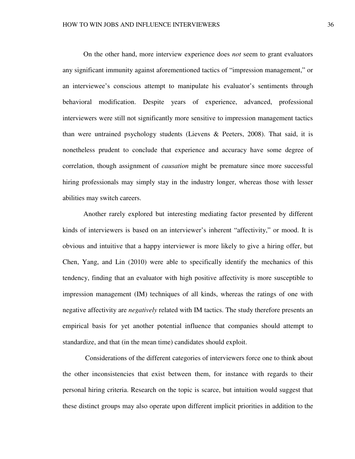On the other hand, more interview experience does *not* seem to grant evaluators any significant immunity against aforementioned tactics of "impression management," or an interviewee's conscious attempt to manipulate his evaluator's sentiments through behavioral modification. Despite years of experience, advanced, professional interviewers were still not significantly more sensitive to impression management tactics than were untrained psychology students (Lievens & Peeters, 2008). That said, it is nonetheless prudent to conclude that experience and accuracy have some degree of correlation, though assignment of *causation* might be premature since more successful hiring professionals may simply stay in the industry longer, whereas those with lesser abilities may switch careers.

 Another rarely explored but interesting mediating factor presented by different kinds of interviewers is based on an interviewer's inherent "affectivity," or mood. It is obvious and intuitive that a happy interviewer is more likely to give a hiring offer, but Chen, Yang, and Lin (2010) were able to specifically identify the mechanics of this tendency, finding that an evaluator with high positive affectivity is more susceptible to impression management (IM) techniques of all kinds, whereas the ratings of one with negative affectivity are *negatively* related with IM tactics. The study therefore presents an empirical basis for yet another potential influence that companies should attempt to standardize, and that (in the mean time) candidates should exploit.

 Considerations of the different categories of interviewers force one to think about the other inconsistencies that exist between them, for instance with regards to their personal hiring criteria. Research on the topic is scarce, but intuition would suggest that these distinct groups may also operate upon different implicit priorities in addition to the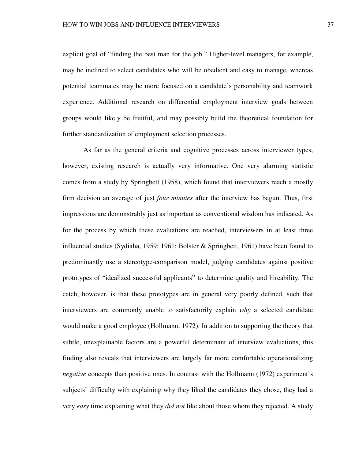explicit goal of "finding the best man for the job." Higher-level managers, for example, may be inclined to select candidates who will be obedient and easy to manage, whereas potential teammates may be more focused on a candidate's personability and teamwork experience. Additional research on differential employment interview goals between groups would likely be fruitful, and may possibly build the theoretical foundation for further standardization of employment selection processes.

 As far as the general criteria and cognitive processes across interviewer types, however, existing research is actually very informative. One very alarming statistic comes from a study by Springbett (1958), which found that interviewers reach a mostly firm decision an average of just *four minutes* after the interview has begun. Thus, first impressions are demonstrably just as important as conventional wisdom has indicated. As for the process by which these evaluations are reached, interviewers in at least three influential studies (Sydiaha, 1959; 1961; Bolster & Springbett, 1961) have been found to predominantly use a stereotype-comparison model, judging candidates against positive prototypes of "idealized successful applicants" to determine quality and hireability. The catch, however, is that these prototypes are in general very poorly defined, such that interviewers are commonly unable to satisfactorily explain *why* a selected candidate would make a good employee (Hollmann, 1972). In addition to supporting the theory that subtle, unexplainable factors are a powerful determinant of interview evaluations, this finding also reveals that interviewers are largely far more comfortable operationalizing *negative* concepts than positive ones. In contrast with the Hollmann (1972) experiment's subjects' difficulty with explaining why they liked the candidates they chose, they had a very *easy* time explaining what they *did not* like about those whom they rejected. A study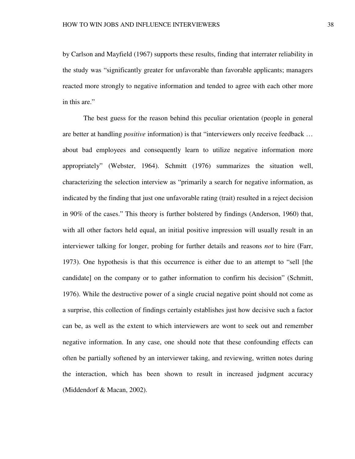by Carlson and Mayfield (1967) supports these results, finding that interrater reliability in the study was "significantly greater for unfavorable than favorable applicants; managers reacted more strongly to negative information and tended to agree with each other more in this are."

The best guess for the reason behind this peculiar orientation (people in general are better at handling *positive* information) is that "interviewers only receive feedback … about bad employees and consequently learn to utilize negative information more appropriately" (Webster, 1964). Schmitt (1976) summarizes the situation well, characterizing the selection interview as "primarily a search for negative information, as indicated by the finding that just one unfavorable rating (trait) resulted in a reject decision in 90% of the cases." This theory is further bolstered by findings (Anderson, 1960) that, with all other factors held equal, an initial positive impression will usually result in an interviewer talking for longer, probing for further details and reasons *not* to hire (Farr, 1973). One hypothesis is that this occurrence is either due to an attempt to "sell [the candidate] on the company or to gather information to confirm his decision" (Schmitt, 1976). While the destructive power of a single crucial negative point should not come as a surprise, this collection of findings certainly establishes just how decisive such a factor can be, as well as the extent to which interviewers are wont to seek out and remember negative information. In any case, one should note that these confounding effects can often be partially softened by an interviewer taking, and reviewing, written notes during the interaction, which has been shown to result in increased judgment accuracy (Middendorf & Macan, 2002).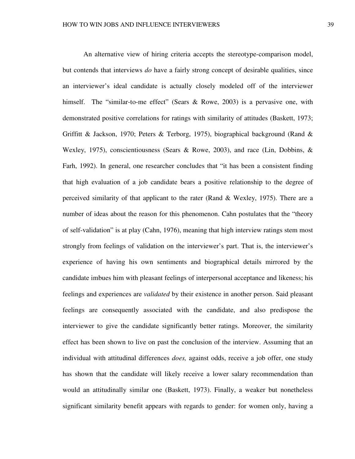An alternative view of hiring criteria accepts the stereotype-comparison model, but contends that interviews *do* have a fairly strong concept of desirable qualities, since an interviewer's ideal candidate is actually closely modeled off of the interviewer himself. The "similar-to-me effect" (Sears & Rowe, 2003) is a pervasive one, with demonstrated positive correlations for ratings with similarity of attitudes (Baskett, 1973; Griffitt & Jackson, 1970; Peters & Terborg, 1975), biographical background (Rand & Wexley, 1975), conscientiousness (Sears & Rowe, 2003), and race (Lin, Dobbins, & Farh, 1992). In general, one researcher concludes that "it has been a consistent finding that high evaluation of a job candidate bears a positive relationship to the degree of perceived similarity of that applicant to the rater (Rand & Wexley, 1975). There are a number of ideas about the reason for this phenomenon. Cahn postulates that the "theory of self-validation" is at play (Cahn, 1976), meaning that high interview ratings stem most strongly from feelings of validation on the interviewer's part. That is, the interviewer's experience of having his own sentiments and biographical details mirrored by the candidate imbues him with pleasant feelings of interpersonal acceptance and likeness; his feelings and experiences are *validated* by their existence in another person. Said pleasant feelings are consequently associated with the candidate, and also predispose the interviewer to give the candidate significantly better ratings. Moreover, the similarity effect has been shown to live on past the conclusion of the interview. Assuming that an individual with attitudinal differences *does,* against odds, receive a job offer, one study has shown that the candidate will likely receive a lower salary recommendation than would an attitudinally similar one (Baskett, 1973). Finally, a weaker but nonetheless significant similarity benefit appears with regards to gender: for women only, having a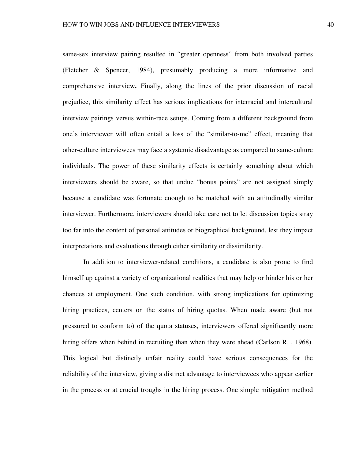same-sex interview pairing resulted in "greater openness" from both involved parties (Fletcher & Spencer, 1984), presumably producing a more informative and comprehensive interview**.** Finally, along the lines of the prior discussion of racial prejudice, this similarity effect has serious implications for interracial and intercultural interview pairings versus within-race setups. Coming from a different background from one's interviewer will often entail a loss of the "similar-to-me" effect, meaning that other-culture interviewees may face a systemic disadvantage as compared to same-culture individuals. The power of these similarity effects is certainly something about which interviewers should be aware, so that undue "bonus points" are not assigned simply because a candidate was fortunate enough to be matched with an attitudinally similar interviewer. Furthermore, interviewers should take care not to let discussion topics stray too far into the content of personal attitudes or biographical background, lest they impact interpretations and evaluations through either similarity or dissimilarity.

In addition to interviewer-related conditions, a candidate is also prone to find himself up against a variety of organizational realities that may help or hinder his or her chances at employment. One such condition, with strong implications for optimizing hiring practices, centers on the status of hiring quotas. When made aware (but not pressured to conform to) of the quota statuses, interviewers offered significantly more hiring offers when behind in recruiting than when they were ahead (Carlson R., 1968). This logical but distinctly unfair reality could have serious consequences for the reliability of the interview, giving a distinct advantage to interviewees who appear earlier in the process or at crucial troughs in the hiring process. One simple mitigation method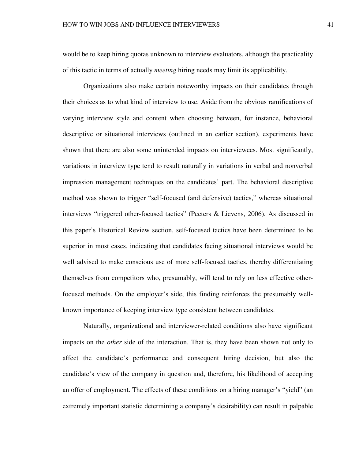would be to keep hiring quotas unknown to interview evaluators, although the practicality of this tactic in terms of actually *meeting* hiring needs may limit its applicability.

Organizations also make certain noteworthy impacts on their candidates through their choices as to what kind of interview to use. Aside from the obvious ramifications of varying interview style and content when choosing between, for instance, behavioral descriptive or situational interviews (outlined in an earlier section), experiments have shown that there are also some unintended impacts on interviewees. Most significantly, variations in interview type tend to result naturally in variations in verbal and nonverbal impression management techniques on the candidates' part. The behavioral descriptive method was shown to trigger "self-focused (and defensive) tactics," whereas situational interviews "triggered other-focused tactics" (Peeters & Lievens, 2006). As discussed in this paper's Historical Review section, self-focused tactics have been determined to be superior in most cases, indicating that candidates facing situational interviews would be well advised to make conscious use of more self-focused tactics, thereby differentiating themselves from competitors who, presumably, will tend to rely on less effective otherfocused methods. On the employer's side, this finding reinforces the presumably wellknown importance of keeping interview type consistent between candidates.

Naturally, organizational and interviewer-related conditions also have significant impacts on the *other* side of the interaction. That is, they have been shown not only to affect the candidate's performance and consequent hiring decision, but also the candidate's view of the company in question and, therefore, his likelihood of accepting an offer of employment. The effects of these conditions on a hiring manager's "yield" (an extremely important statistic determining a company's desirability) can result in palpable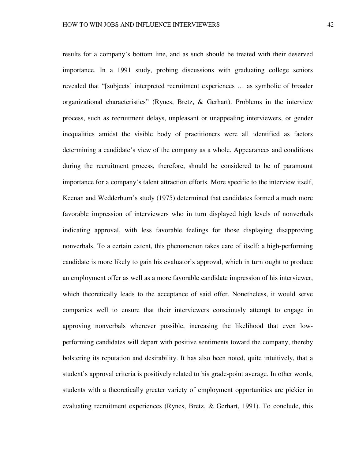results for a company's bottom line, and as such should be treated with their deserved importance. In a 1991 study, probing discussions with graduating college seniors revealed that "[subjects] interpreted recruitment experiences … as symbolic of broader organizational characteristics" (Rynes, Bretz, & Gerhart). Problems in the interview process, such as recruitment delays, unpleasant or unappealing interviewers, or gender inequalities amidst the visible body of practitioners were all identified as factors determining a candidate's view of the company as a whole. Appearances and conditions during the recruitment process, therefore, should be considered to be of paramount importance for a company's talent attraction efforts. More specific to the interview itself, Keenan and Wedderburn's study (1975) determined that candidates formed a much more favorable impression of interviewers who in turn displayed high levels of nonverbals indicating approval, with less favorable feelings for those displaying disapproving nonverbals. To a certain extent, this phenomenon takes care of itself: a high-performing candidate is more likely to gain his evaluator's approval, which in turn ought to produce an employment offer as well as a more favorable candidate impression of his interviewer, which theoretically leads to the acceptance of said offer. Nonetheless, it would serve companies well to ensure that their interviewers consciously attempt to engage in approving nonverbals wherever possible, increasing the likelihood that even lowperforming candidates will depart with positive sentiments toward the company, thereby bolstering its reputation and desirability. It has also been noted, quite intuitively, that a student's approval criteria is positively related to his grade-point average. In other words, students with a theoretically greater variety of employment opportunities are pickier in evaluating recruitment experiences (Rynes, Bretz, & Gerhart, 1991). To conclude, this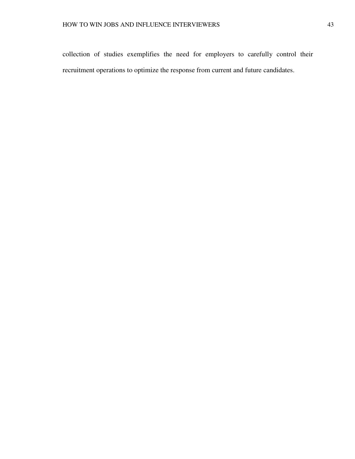collection of studies exemplifies the need for employers to carefully control their recruitment operations to optimize the response from current and future candidates.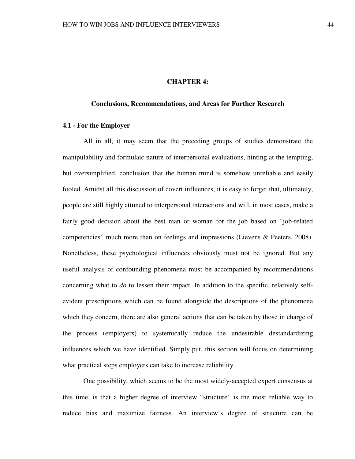### **CHAPTER 4:**

#### **Conclusions, Recommendations, and Areas for Further Research**

# **4.1 - For the Employer**

All in all, it may seem that the preceding groups of studies demonstrate the manipulability and formulaic nature of interpersonal evaluations, hinting at the tempting, but oversimplified, conclusion that the human mind is somehow unreliable and easily fooled. Amidst all this discussion of covert influences, it is easy to forget that, ultimately, people are still highly attuned to interpersonal interactions and will, in most cases, make a fairly good decision about the best man or woman for the job based on "job-related competencies" much more than on feelings and impressions (Lievens & Peeters, 2008). Nonetheless, these psychological influences obviously must not be ignored. But any useful analysis of confounding phenomena must be accompanied by recommendations concerning what to *do* to lessen their impact. In addition to the specific, relatively selfevident prescriptions which can be found alongside the descriptions of the phenomena which they concern, there are also general actions that can be taken by those in charge of the process (employers) to systemically reduce the undesirable destandardizing influences which we have identified. Simply put, this section will focus on determining what practical steps employers can take to increase reliability.

One possibility, which seems to be the most widely-accepted expert consensus at this time, is that a higher degree of interview "structure" is the most reliable way to reduce bias and maximize fairness. An interview's degree of structure can be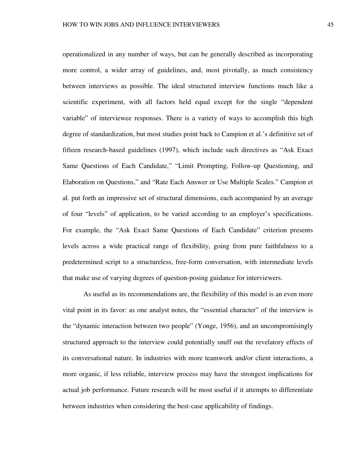operationalized in any number of ways, but can be generally described as incorporating more control, a wider array of guidelines, and, most pivotally, as much consistency between interviews as possible. The ideal structured interview functions much like a scientific experiment, with all factors held equal except for the single "dependent variable" of interviewee responses. There is a variety of ways to accomplish this high degree of standardization, but most studies point back to Campion et al.'s definitive set of fifteen research-based guidelines (1997), which include such directives as "Ask Exact Same Questions of Each Candidate," "Limit Prompting, Follow-up Questioning, and Elaboration on Questions," and "Rate Each Answer or Use Multiple Scales." Campion et al. put forth an impressive set of structural dimensions, each accompanied by an average of four "levels" of application, to be varied according to an employer's specifications. For example, the "Ask Exact Same Questions of Each Candidate" criterion presents levels across a wide practical range of flexibility, going from pure faithfulness to a predetermined script to a structureless, free-form conversation, with intermediate levels that make use of varying degrees of question-posing guidance for interviewers.

As useful as its recommendations are, the flexibility of this model is an even more vital point in its favor: as one analyst notes, the "essential character" of the interview is the "dynamic interaction between two people" (Yonge, 1956), and an uncompromisingly structured approach to the interview could potentially snuff out the revelatory effects of its conversational nature. In industries with more teamwork and/or client interactions, a more organic, if less reliable, interview process may have the strongest implications for actual job performance. Future research will be most useful if it attempts to differentiate between industries when considering the best-case applicability of findings.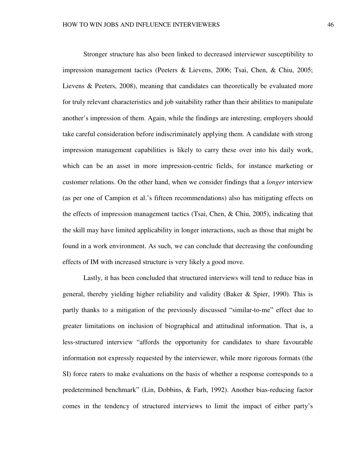Stronger structure has also been linked to decreased interviewer susceptibility to impression management tactics (Peeters & Lievens, 2006; Tsai, Chen, & Chiu, 2005; Lievens & Peeters, 2008), meaning that candidates can theoretically be evaluated more for truly relevant characteristics and job suitability rather than their abilities to manipulate another's impression of them. Again, while the findings are interesting, employers should take careful consideration before indiscriminately applying them. A candidate with strong impression management capabilities is likely to carry these over into his daily work, which can be an asset in more impression-centric fields, for instance marketing or customer relations. On the other hand, when we consider findings that a *longer* interview (as per one of Campion et al.'s fifteen recommendations) also has mitigating effects on the effects of impression management tactics (Tsai, Chen, & Chiu, 2005), indicating that the skill may have limited applicability in longer interactions, such as those that might be found in a work environment. As such, we can conclude that decreasing the confounding effects of IM with increased structure is very likely a good move.

Lastly, it has been concluded that structured interviews will tend to reduce bias in general, thereby yielding higher reliability and validity (Baker & Spier, 1990). This is partly thanks to a mitigation of the previously discussed "similar-to-me" effect due to greater limitations on inclusion of biographical and attitudinal information. That is, a less-structured interview "affords the opportunity for candidates to share favourable information not expressly requested by the interviewer, while more rigorous formats (the SI) force raters to make evaluations on the basis of whether a response corresponds to a predetermined benchmark" (Lin, Dobbins, & Farh, 1992). Another bias-reducing factor comes in the tendency of structured interviews to limit the impact of either party's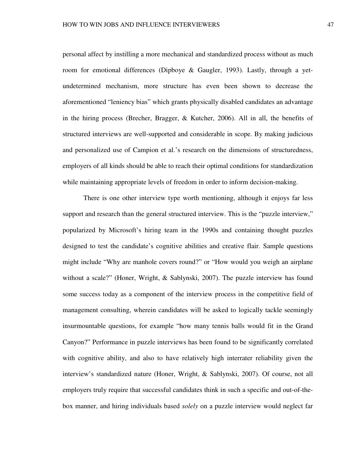personal affect by instilling a more mechanical and standardized process without as much room for emotional differences (Dipboye & Gaugler, 1993). Lastly, through a yetundetermined mechanism, more structure has even been shown to decrease the aforementioned "leniency bias" which grants physically disabled candidates an advantage in the hiring process (Brecher, Bragger, & Kutcher, 2006). All in all, the benefits of structured interviews are well-supported and considerable in scope. By making judicious and personalized use of Campion et al.'s research on the dimensions of structuredness, employers of all kinds should be able to reach their optimal conditions for standardization while maintaining appropriate levels of freedom in order to inform decision-making.

There is one other interview type worth mentioning, although it enjoys far less support and research than the general structured interview. This is the "puzzle interview," popularized by Microsoft's hiring team in the 1990s and containing thought puzzles designed to test the candidate's cognitive abilities and creative flair. Sample questions might include "Why are manhole covers round?" or "How would you weigh an airplane without a scale?" (Honer, Wright, & Sablynski, 2007). The puzzle interview has found some success today as a component of the interview process in the competitive field of management consulting, wherein candidates will be asked to logically tackle seemingly insurmountable questions, for example "how many tennis balls would fit in the Grand Canyon?" Performance in puzzle interviews has been found to be significantly correlated with cognitive ability, and also to have relatively high interrater reliability given the interview's standardized nature (Honer, Wright, & Sablynski, 2007). Of course, not all employers truly require that successful candidates think in such a specific and out-of-thebox manner, and hiring individuals based *solely* on a puzzle interview would neglect far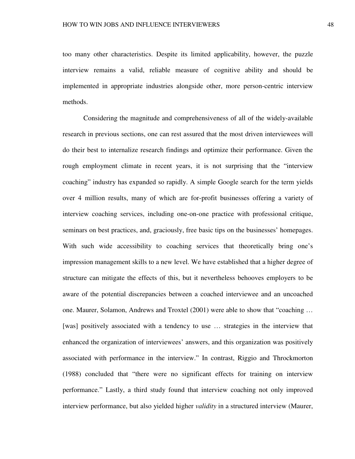too many other characteristics. Despite its limited applicability, however, the puzzle interview remains a valid, reliable measure of cognitive ability and should be implemented in appropriate industries alongside other, more person-centric interview methods.

Considering the magnitude and comprehensiveness of all of the widely-available research in previous sections, one can rest assured that the most driven interviewees will do their best to internalize research findings and optimize their performance. Given the rough employment climate in recent years, it is not surprising that the "interview coaching" industry has expanded so rapidly. A simple Google search for the term yields over 4 million results, many of which are for-profit businesses offering a variety of interview coaching services, including one-on-one practice with professional critique, seminars on best practices, and, graciously, free basic tips on the businesses' homepages. With such wide accessibility to coaching services that theoretically bring one's impression management skills to a new level. We have established that a higher degree of structure can mitigate the effects of this, but it nevertheless behooves employers to be aware of the potential discrepancies between a coached interviewee and an uncoached one. Maurer, Solamon, Andrews and Troxtel (2001) were able to show that "coaching … [was] positively associated with a tendency to use ... strategies in the interview that enhanced the organization of interviewees' answers, and this organization was positively associated with performance in the interview." In contrast, Riggio and Throckmorton (1988) concluded that "there were no significant effects for training on interview performance." Lastly, a third study found that interview coaching not only improved interview performance, but also yielded higher *validity* in a structured interview (Maurer,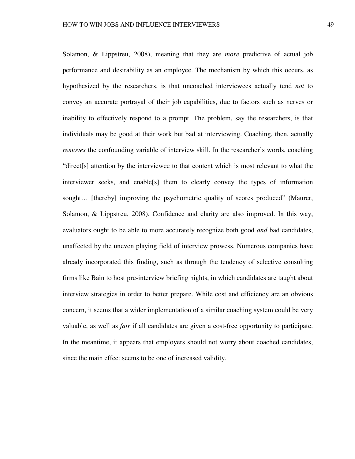Solamon, & Lippstreu, 2008), meaning that they are *more* predictive of actual job performance and desirability as an employee. The mechanism by which this occurs, as hypothesized by the researchers, is that uncoached interviewees actually tend *not* to convey an accurate portrayal of their job capabilities, due to factors such as nerves or inability to effectively respond to a prompt. The problem, say the researchers, is that individuals may be good at their work but bad at interviewing. Coaching, then, actually *removes* the confounding variable of interview skill. In the researcher's words, coaching "direct[s] attention by the interviewee to that content which is most relevant to what the interviewer seeks, and enable[s] them to clearly convey the types of information sought... [thereby] improving the psychometric quality of scores produced" (Maurer, Solamon, & Lippstreu, 2008). Confidence and clarity are also improved. In this way, evaluators ought to be able to more accurately recognize both good *and* bad candidates, unaffected by the uneven playing field of interview prowess. Numerous companies have already incorporated this finding, such as through the tendency of selective consulting firms like Bain to host pre-interview briefing nights, in which candidates are taught about interview strategies in order to better prepare. While cost and efficiency are an obvious concern, it seems that a wider implementation of a similar coaching system could be very valuable, as well as *fair* if all candidates are given a cost-free opportunity to participate. In the meantime, it appears that employers should not worry about coached candidates, since the main effect seems to be one of increased validity.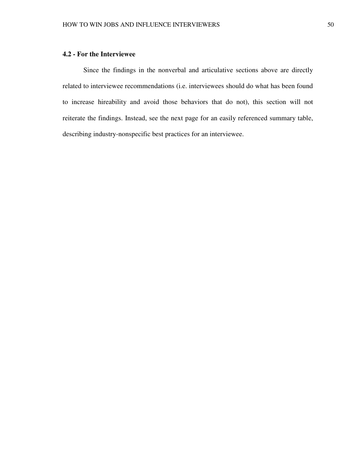# **4.2 - For the Interviewee**

 Since the findings in the nonverbal and articulative sections above are directly related to interviewee recommendations (i.e. interviewees should do what has been found to increase hireability and avoid those behaviors that do not), this section will not reiterate the findings. Instead, see the next page for an easily referenced summary table, describing industry-nonspecific best practices for an interviewee.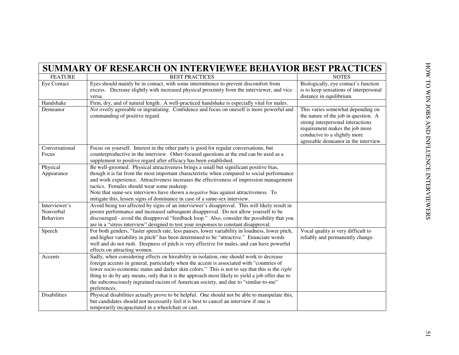| <b>SUMMARY OF RESEARCH ON INTERVIEWEE BEHAVIOR BEST PRACTICES</b> |                                                                                                                                                                                              |                                                                                                                                                                                                                          |  |
|-------------------------------------------------------------------|----------------------------------------------------------------------------------------------------------------------------------------------------------------------------------------------|--------------------------------------------------------------------------------------------------------------------------------------------------------------------------------------------------------------------------|--|
| <b>FEATURE</b>                                                    | <b>BEST PRACTICES</b>                                                                                                                                                                        | <b>NOTES</b>                                                                                                                                                                                                             |  |
| Eye Contact                                                       | Eyes should mainly be in contact, with some intermittence to prevent discomfort from<br>excess. Decrease slightly with increased physical proximity from the interviewer, and vice<br>versa. | Biologically, eye contact's function<br>is to keep sensations of interpersonal<br>distance in equilibrium.                                                                                                               |  |
| Handshake                                                         | Firm, dry, and of natural length. A well-practiced handshake is especially vital for males.                                                                                                  |                                                                                                                                                                                                                          |  |
| Demeanor                                                          | Not overly agreeable or ingratiating. Confidence and focus on oneself is more powerful and<br>commanding of positive regard.                                                                 | This varies somewhat depending on<br>the nature of the job in question. A<br>strong interpersonal interactions<br>requirement makes the job more<br>conducive to a slightly more<br>agreeable demeanor in the interview. |  |
| Conversational                                                    | Focus on yourself. Interest in the other party is good for regular conversations, but                                                                                                        |                                                                                                                                                                                                                          |  |
| Focus                                                             | counterproductive in the interview. Other-focused questions at the end can be used as a                                                                                                      |                                                                                                                                                                                                                          |  |
|                                                                   | supplement to positive regard after efficacy has been established.                                                                                                                           |                                                                                                                                                                                                                          |  |
| Physical                                                          | Be well-groomed. Physical attractiveness brings a small but significant positive bias,                                                                                                       |                                                                                                                                                                                                                          |  |
| Appearance                                                        | though it is far from the most important characteristic when compared to social performance                                                                                                  |                                                                                                                                                                                                                          |  |
|                                                                   | and work experience. Attractiveness increases the effectiveness of impression management                                                                                                     |                                                                                                                                                                                                                          |  |
|                                                                   | tactics. Females should wear some makeup.                                                                                                                                                    |                                                                                                                                                                                                                          |  |
|                                                                   | Note that same-sex interviews have shown a <i>negative</i> bias against attractiveness. To                                                                                                   |                                                                                                                                                                                                                          |  |
|                                                                   | mitigate this, lessen signs of dominance in case of a same-sex interview.                                                                                                                    |                                                                                                                                                                                                                          |  |
| Interviewer's                                                     | Avoid being too affected by signs of an interviewer's disapproval. This will likely result in                                                                                                |                                                                                                                                                                                                                          |  |
| Nonverbal                                                         | poorer performance and increased subsequent disapproval. Do not allow yourself to be                                                                                                         |                                                                                                                                                                                                                          |  |
| <b>Behaviors</b>                                                  | discouraged - avoid the disapproval "feedback loop." Also, consider the possibility that you                                                                                                 |                                                                                                                                                                                                                          |  |
|                                                                   | are in a "stress interview" designed to test your responses to constant disapproval.                                                                                                         |                                                                                                                                                                                                                          |  |
| Speech                                                            | For both genders, "faster speech rate, less pauses, lower variability in loudness, lower pitch,<br>and higher variability in pitch" has been determined to be "attractive." Enunciate words  | Vocal quality is very difficult to<br>reliably and permanently change.                                                                                                                                                   |  |
|                                                                   | well and do not rush. Deepness of pitch is very effective for males, and can have powerful                                                                                                   |                                                                                                                                                                                                                          |  |
|                                                                   | effects on attracting women.                                                                                                                                                                 |                                                                                                                                                                                                                          |  |
| Accents                                                           | Sadly, when considering effects on hireability in isolation, one should work to decrease                                                                                                     |                                                                                                                                                                                                                          |  |
|                                                                   | foreign accents in general, particularly when the accent is associated with "countries of                                                                                                    |                                                                                                                                                                                                                          |  |
|                                                                   | lower socio-economic status and darker skin colors." This is not to say that this is the right                                                                                               |                                                                                                                                                                                                                          |  |
|                                                                   | thing to do by any means, only that it is the approach most likely to yield a job offer due to                                                                                               |                                                                                                                                                                                                                          |  |
|                                                                   | the subconsciously ingrained racism of American society, and due to "similar-to-me"                                                                                                          |                                                                                                                                                                                                                          |  |
|                                                                   | preferences.                                                                                                                                                                                 |                                                                                                                                                                                                                          |  |
| <b>Disabilities</b>                                               | Physical disabilities actually prove to be helpful. One should not be able to manipulate this,                                                                                               |                                                                                                                                                                                                                          |  |
|                                                                   | but candidates should not necessarily feel it is best to cancel an interview if one is                                                                                                       |                                                                                                                                                                                                                          |  |
|                                                                   | temporarily incapacitated in a wheelchair or cast.                                                                                                                                           |                                                                                                                                                                                                                          |  |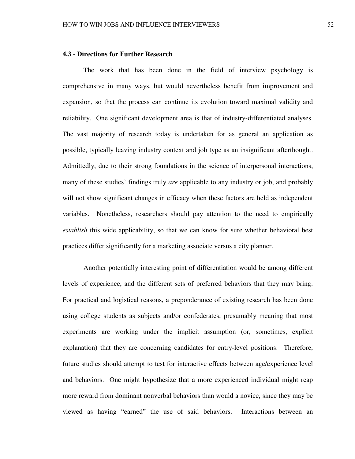# **4.3 - Directions for Further Research**

The work that has been done in the field of interview psychology is comprehensive in many ways, but would nevertheless benefit from improvement and expansion, so that the process can continue its evolution toward maximal validity and reliability. One significant development area is that of industry-differentiated analyses. The vast majority of research today is undertaken for as general an application as possible, typically leaving industry context and job type as an insignificant afterthought. Admittedly, due to their strong foundations in the science of interpersonal interactions, many of these studies' findings truly *are* applicable to any industry or job, and probably will not show significant changes in efficacy when these factors are held as independent variables. Nonetheless, researchers should pay attention to the need to empirically *establish* this wide applicability, so that we can know for sure whether behavioral best practices differ significantly for a marketing associate versus a city planner.

 Another potentially interesting point of differentiation would be among different levels of experience, and the different sets of preferred behaviors that they may bring. For practical and logistical reasons, a preponderance of existing research has been done using college students as subjects and/or confederates, presumably meaning that most experiments are working under the implicit assumption (or, sometimes, explicit explanation) that they are concerning candidates for entry-level positions. Therefore, future studies should attempt to test for interactive effects between age/experience level and behaviors. One might hypothesize that a more experienced individual might reap more reward from dominant nonverbal behaviors than would a novice, since they may be viewed as having "earned" the use of said behaviors. Interactions between an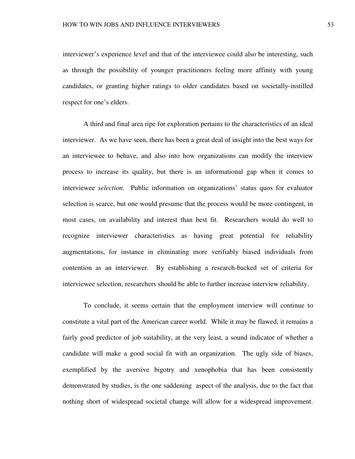interviewer's experience level and that of the interviewee could also be interesting, such as through the possibility of younger practitioners feeling more affinity with young candidates, or granting higher ratings to older candidates based on societally-instilled respect for one's elders.

 A third and final area ripe for exploration pertains to the characteristics of an ideal interviewer. As we have seen, there has been a great deal of insight into the best ways for an interviewee to behave, and also into how organizations can modify the interview process to increase its quality, but there is an informational gap when it comes to interviewee *selection*. Public information on organizations' status quos for evaluator selection is scarce, but one would presume that the process would be more contingent, in most cases, on availability and interest than best fit. Researchers would do well to recognize interviewer characteristics as having great potential for reliability augmentations, for instance in eliminating more verifiably biased individuals from contention as an interviewer. By establishing a research-backed set of criteria for interviewee selection, researchers should be able to further increase interview reliability.

To conclude, it seems certain that the employment interview will continue to constitute a vital part of the American career world. While it may be flawed, it remains a fairly good predictor of job suitability, at the very least, a sound indicator of whether a candidate will make a good social fit with an organization. The ugly side of biases, exemplified by the aversive bigotry and xenophobia that has been consistently demonstrated by studies, is the one saddening aspect of the analysis, due to the fact that nothing short of widespread societal change will allow for a widespread improvement.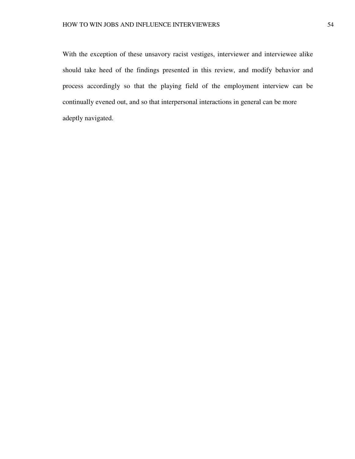With the exception of these unsavory racist vestiges, interviewer and interviewee alike should take heed of the findings presented in this review, and modify behavior and process accordingly so that the playing field of the employment interview can be continually evened out, and so that interpersonal interactions in general can be more adeptly navigated.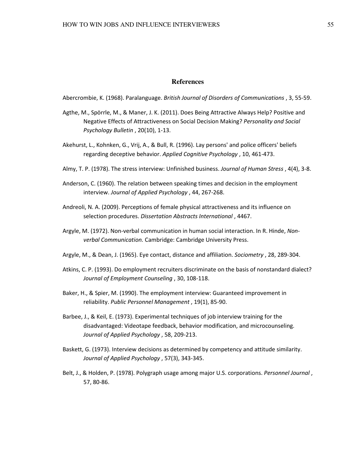#### **References**

Abercrombie, K. (1968). Paralanguage. British Journal of Disorders of Communications , 3, 55-59.

- Agthe, M., Spörrle, M., & Maner, J. K. (2011). Does Being Attractive Always Help? Positive and Negative Effects of Attractiveness on Social Decision Making? Personality and Social Psychology Bulletin , 20(10), 1-13.
- Akehurst, L., Kohnken, G., Vrij, A., & Bull, R. (1996). Lay persons' and police officers' beliefs regarding deceptive behavior. Applied Cognitive Psychology , 10, 461-473.
- Almy, T. P. (1978). The stress interview: Unfinished business. Journal of Human Stress, 4(4), 3-8.
- Anderson, C. (1960). The relation between speaking times and decision in the employment interview. Journal of Applied Psychology , 44, 267-268.
- Andreoli, N. A. (2009). Perceptions of female physical attractiveness and its influence on selection procedures. Dissertation Abstracts International , 4467.
- Argyle, M. (1972). Non-verbal communication in human social interaction. In R. Hinde, Nonverbal Communication. Cambridge: Cambridge University Press.
- Argyle, M., & Dean, J. (1965). Eye contact, distance and affiliation. Sociometry , 28, 289-304.
- Atkins, C. P. (1993). Do employment recruiters discriminate on the basis of nonstandard dialect? Journal of Employment Counseling , 30, 108-118.
- Baker, H., & Spier, M. (1990). The employment interview: Guaranteed improvement in reliability. Public Personnel Management , 19(1), 85-90.
- Barbee, J., & Keil, E. (1973). Experimental techniques of job interview training for the disadvantaged: Videotape feedback, behavior modification, and microcounseling. Journal of Applied Psychology , 58, 209-213.
- Baskett, G. (1973). Interview decisions as determined by competency and attitude similarity. Journal of Applied Psychology , 57(3), 343-345.
- Belt, J., & Holden, P. (1978). Polygraph usage among major U.S. corporations. Personnel Journal, 57, 80-86.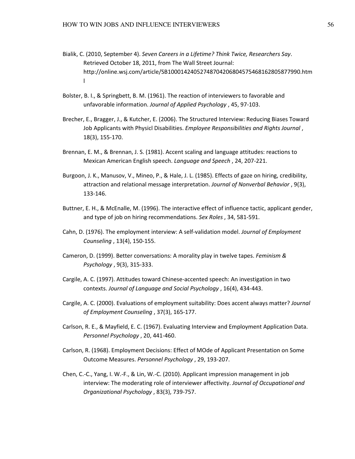- Bialik, C. (2010, September 4). Seven Careers in a Lifetime? Think Twice, Researchers Say. Retrieved October 18, 2011, from The Wall Street Journal: http://online.wsj.com/article/SB10001424052748704206804575468162805877990.htm l
- Bolster, B. I., & Springbett, B. M. (1961). The reaction of interviewers to favorable and unfavorable information. Journal of Applied Psychology , 45, 97-103.
- Brecher, E., Bragger, J., & Kutcher, E. (2006). The Structured Interview: Reducing Biases Toward Job Applicants with Physicl Disabilities. Employee Responsibilities and Rights Journal, 18(3), 155-170.
- Brennan, E. M., & Brennan, J. S. (1981). Accent scaling and language attitudes: reactions to Mexican American English speech. Language and Speech , 24, 207-221.
- Burgoon, J. K., Manusov, V., Mineo, P., & Hale, J. L. (1985). Effects of gaze on hiring, credibility, attraction and relational message interpretation. Journal of Nonverbal Behavior , 9(3), 133-146.
- Buttner, E. H., & McEnalle, M. (1996). The interactive effect of influence tactic, applicant gender, and type of job on hiring recommendations. Sex Roles, 34, 581-591.
- Cahn, D. (1976). The employment interview: A self-validation model. Journal of Employment Counseling , 13(4), 150-155.
- Cameron, D. (1999). Better conversations: A morality play in twelve tapes. Feminism & Psychology , 9(3), 315-333.
- Cargile, A. C. (1997). Attitudes toward Chinese-accented speech: An investigation in two contexts. Journal of Language and Social Psychology , 16(4), 434-443.
- Cargile, A. C. (2000). Evaluations of employment suitability: Does accent always matter? Journal of Employment Counseling , 37(3), 165-177.
- Carlson, R. E., & Mayfield, E. C. (1967). Evaluating Interview and Employment Application Data. Personnel Psychology , 20, 441-460.
- Carlson, R. (1968). Employment Decisions: Effect of MOde of Applicant Presentation on Some Outcome Measures. Personnel Psychology , 29, 193-207.
- Chen, C.-C., Yang, I. W.-F., & Lin, W.-C. (2010). Applicant impression management in job interview: The moderating role of interviewer affectivity. Journal of Occupational and Organizational Psychology , 83(3), 739-757.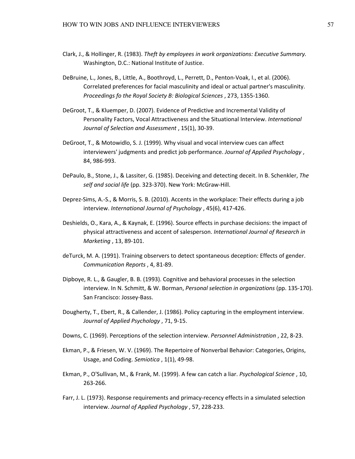- Clark, J., & Hollinger, R. (1983). Theft by employees in work organizations: Executive Summary. Washington, D.C.: National Institute of Justice.
- DeBruine, L., Jones, B., Little, A., Boothroyd, L., Perrett, D., Penton-Voak, I., et al. (2006). Correlated preferences for facial masculinity and ideal or actual partner's masculinity. Proceedings fo the Royal Society B: Biological Sciences , 273, 1355-1360.
- DeGroot, T., & Kluemper, D. (2007). Evidence of Predictive and Incremental Validity of Personality Factors, Vocal Attractiveness and the Situational Interview. International Journal of Selection and Assessment , 15(1), 30-39.
- DeGroot, T., & Motowidlo, S. J. (1999). Why visual and vocal interview cues can affect interviewers' judgments and predict job performance. Journal of Applied Psychology, 84, 986-993.
- DePaulo, B., Stone, J., & Lassiter, G. (1985). Deceiving and detecting deceit. In B. Schenkler, The self and social life (pp. 323-370). New York: McGraw-Hill.
- Deprez-Sims, A.-S., & Morris, S. B. (2010). Accents in the workplace: Their effects during a job interview. International Journal of Psychology , 45(6), 417-426.
- Deshields, O., Kara, A., & Kaynak, E. (1996). Source effects in purchase decisions: the impact of physical attractiveness and accent of salesperson. International Journal of Research in Marketing , 13, 89-101.
- deTurck, M. A. (1991). Training observers to detect spontaneous deception: Effects of gender. Communication Reports , 4, 81-89.
- Dipboye, R. L., & Gaugler, B. B. (1993). Cognitive and behavioral processes in the selection interview. In N. Schmitt, & W. Borman, Personal selection in organizations (pp. 135-170). San Francisco: Jossey-Bass.
- Dougherty, T., Ebert, R., & Callender, J. (1986). Policy capturing in the employment interview. Journal of Applied Psychology , 71, 9-15.
- Downs, C. (1969). Perceptions of the selection interview. Personnel Administration , 22, 8-23.
- Ekman, P., & Friesen, W. V. (1969). The Repertoire of Nonverbal Behavior: Categories, Origins, Usage, and Coding. Semiotica , 1(1), 49-98.
- Ekman, P., O'Sullivan, M., & Frank, M. (1999). A few can catch a liar. Psychological Science , 10, 263-266.
- Farr, J. L. (1973). Response requirements and primacy-recency effects in a simulated selection interview. Journal of Applied Psychology , 57, 228-233.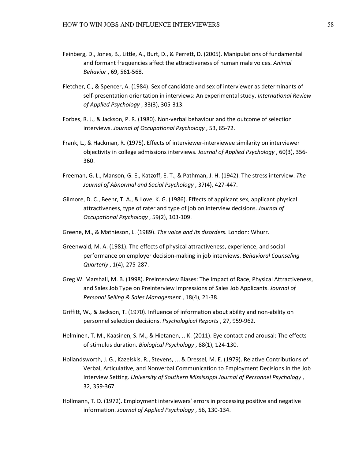- Feinberg, D., Jones, B., Little, A., Burt, D., & Perrett, D. (2005). Manipulations of fundamental and formant frequencies affect the attractiveness of human male voices. Animal Behavior , 69, 561-568.
- Fletcher, C., & Spencer, A. (1984). Sex of candidate and sex of interviewer as determinants of self-presentation orientation in interviews: An experimental study. International Review of Applied Psychology , 33(3), 305-313.
- Forbes, R. J., & Jackson, P. R. (1980). Non-verbal behaviour and the outcome of selection interviews. Journal of Occupational Psychology , 53, 65-72.
- Frank, L., & Hackman, R. (1975). Effects of interviewer-interviewee similarity on interviewer objectivity in college admissions interviews. Journal of Applied Psychology, 60(3), 356-360.
- Freeman, G. L., Manson, G. E., Katzoff, E. T., & Pathman, J. H. (1942). The stress interview. The Journal of Abnormal and Social Psychology , 37(4), 427-447.
- Gilmore, D. C., Beehr, T. A., & Love, K. G. (1986). Effects of applicant sex, applicant physical attractiveness, type of rater and type of job on interview decisions. Journal of Occupational Psychology , 59(2), 103-109.
- Greene, M., & Mathieson, L. (1989). The voice and its disorders. London: Whurr.
- Greenwald, M. A. (1981). The effects of physical attractiveness, experience, and social performance on employer decision-making in job interviews. Behavioral Counseling Quarterly , 1(4), 275-287.
- Greg W. Marshall, M. B. (1998). Preinterview Biases: The Impact of Race, Physical Attractiveness, and Sales Job Type on Preinterview Impressions of Sales Job Applicants. Journal of Personal Selling & Sales Management , 18(4), 21-38.
- Griffitt, W., & Jackson, T. (1970). Influence of information about ability and non-ability on personnel selection decisions. Psychological Reports , 27, 959-962.
- Helminen, T. M., Kaasinen, S. M., & Hietanen, J. K. (2011). Eye contact and arousal: The effects of stimulus duration. Biological Psychology , 88(1), 124-130.
- Hollandsworth, J. G., Kazelskis, R., Stevens, J., & Dressel, M. E. (1979). Relative Contributions of Verbal, Articulative, and Nonverbal Communication to Employment Decisions in the Job Interview Setting. University of Southern Mississippi Journal of Personnel Psychology , 32, 359-367.
- Hollmann, T. D. (1972). Employment interviewers' errors in processing positive and negative information. Journal of Applied Psychology , 56, 130-134.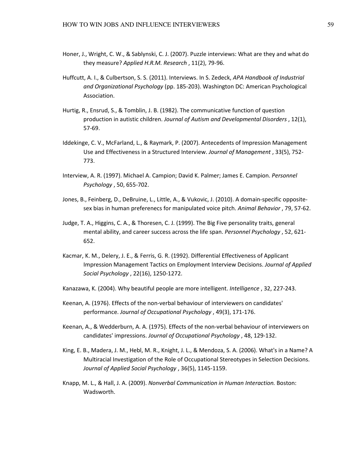- Honer, J., Wright, C. W., & Sablynski, C. J. (2007). Puzzle interviews: What are they and what do they measure? Applied H.R.M. Research , 11(2), 79-96.
- Huffcutt, A. I., & Culbertson, S. S. (2011). Interviews. In S. Zedeck, APA Handbook of Industrial and Organizational Psychology (pp. 185-203). Washington DC: American Psychological Association.
- Hurtig, R., Ensrud, S., & Tomblin, J. B. (1982). The communicative function of question production in autistic children. Journal of Autism and Developmental Disorders , 12(1), 57-69.
- Iddekinge, C. V., McFarland, L., & Raymark, P. (2007). Antecedents of Impression Management Use and Effectiveness in a Structured Interview. Journal of Management , 33(5), 752- 773.
- Interview, A. R. (1997). Michael A. Campion; David K. Palmer; James E. Campion. Personnel Psychology , 50, 655-702.
- Jones, B., Feinberg, D., DeBruine, L., Little, A., & Vukovic, J. (2010). A domain-specific oppositesex bias in human preferenecs for manipulated voice pitch. Animal Behavior , 79, 57-62.
- Judge, T. A., Higgins, C. A., & Thoresen, C. J. (1999). The Big Five personality traits, general mental ability, and career success across the life span. Personnel Psychology , 52, 621- 652.
- Kacmar, K. M., Delery, J. E., & Ferris, G. R. (1992). Differential Effectiveness of Applicant Impression Management Tactics on Employment Interview Decisions. Journal of Applied Social Psychology , 22(16), 1250-1272.
- Kanazawa, K. (2004). Why beautiful people are more intelligent. Intelligence, 32, 227-243.
- Keenan, A. (1976). Effects of the non-verbal behaviour of interviewers on candidates' performance. Journal of Occupational Psychology , 49(3), 171-176.
- Keenan, A., & Wedderburn, A. A. (1975). Effects of the non-verbal behaviour of interviewers on candidates' impressions. Journal of Occupational Psychology , 48, 129-132.
- King, E. B., Madera, J. M., Hebl, M. R., Knight, J. L., & Mendoza, S. A. (2006). What's in a Name? A Multiracial Investigation of the Role of Occupational Stereotypes in Selection Decisions. Journal of Applied Social Psychology , 36(5), 1145-1159.
- Knapp, M. L., & Hall, J. A. (2009). Nonverbal Communication in Human Interaction. Boston: Wadsworth.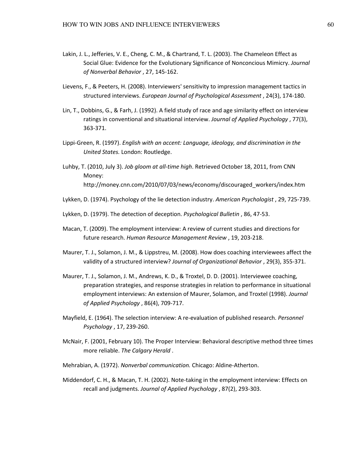- Lakin, J. L., Jefferies, V. E., Cheng, C. M., & Chartrand, T. L. (2003). The Chameleon Effect as Social Glue: Evidence for the Evolutionary Significance of Nonconcious Mimicry. Journal of Nonverbal Behavior , 27, 145-162.
- Lievens, F., & Peeters, H. (2008). Interviewers' sensitivity to impression management tactics in structured interviews. European Journal of Psychological Assessment , 24(3), 174-180.
- Lin, T., Dobbins, G., & Farh, J. (1992). A field study of race and age similarity effect on interview ratings in conventional and situational interview. Journal of Applied Psychology , 77(3), 363-371.
- Lippi-Green, R. (1997). English with an accent: Language, ideology, and discrimination in the United States. London: Routledge.
- Luhby, T. (2010, July 3). Job gloom at all-time high. Retrieved October 18, 2011, from CNN Money: http://money.cnn.com/2010/07/03/news/economy/discouraged\_workers/index.htm
- Lykken, D. (1974). Psychology of the lie detection industry. American Psychologist , 29, 725-739.
- Lykken, D. (1979). The detection of deception. Psychological Bulletin , 86, 47-53.
- Macan, T. (2009). The employment interview: A review of current studies and directions for future research. Human Resource Management Review , 19, 203-218.
- Maurer, T. J., Solamon, J. M., & Lippstreu, M. (2008). How does coaching interviewees affect the validity of a structured interview? Journal of Organizational Behavior , 29(3), 355-371.
- Maurer, T. J., Solamon, J. M., Andrews, K. D., & Troxtel, D. D. (2001). Interviewee coaching, preparation strategies, and response strategies in relation to performance in situational employment interviews: An extension of Maurer, Solamon, and Troxtel (1998). Journal of Applied Psychology , 86(4), 709-717.
- Mayfield, E. (1964). The selection interview: A re-evaluation of published research. Personnel Psychology , 17, 239-260.
- McNair, F. (2001, February 10). The Proper Interview: Behavioral descriptive method three times more reliable. The Calgary Herald .
- Mehrabian, A. (1972). Nonverbal communication. Chicago: Aldine-Atherton.
- Middendorf, C. H., & Macan, T. H. (2002). Note-taking in the employment interview: Effects on recall and judgments. Journal of Applied Psychology , 87(2), 293-303.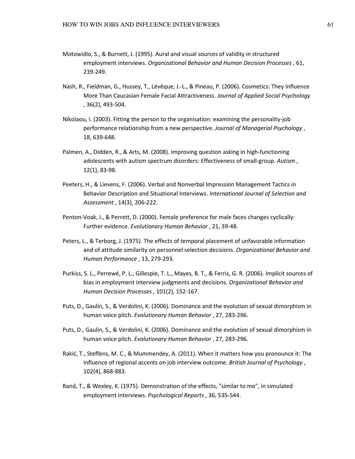- Motowidlo, S., & Burnett, J. (1995). Aural and visual sources of validity in structured employment interviews. Organizational Behavior and Human Decision Processes , 61, 239-249.
- Nash, R., Fieldman, G., Hussey, T., Lévêque, J.-L., & Pineau, P. (2006). Cosmetics: They Influence More Than Caucasian Female Facial Attractiveness. Journal of Applied Social Psychology , 36(2), 493-504.
- Nikolaou, I. (2003). Fitting the person to the organisation: examining the personality-job performance relationship from a new perspective. Journal of Managerial Psychology , 18, 639-648.
- Palmen, A., Didden, R., & Arts, M. (2008). Improving question asking in high-functioning adolescents with autism spectrum disorders: Effectiveness of small-group. Autism , 12(1), 83-98.
- Peeters, H., & Lievens, F. (2006). Verbal and Nonverbal Impression Management Tactics in Behavior Description and Situational Interviews. International Journal of Selection and Assessment , 14(3), 206-222.
- Penton-Voak, I., & Perrett, D. (2000). Female preference for male faces changes cyclically: Further evidence. Evolutionary Human Behavior , 21, 39-48.
- Peters, L., & Terborg, J. (1975). The effects of temporal placement of unfavorable information and of attitude similarity on personnel selection decisions. Organizational Behavior and Human Performance , 13, 279-293.
- Purkiss, S. L., Perrewé, P. L., Gillespie, T. L., Mayes, B. T., & Ferris, G. R. (2006). Implicit sources of bias in employment interview judgments and decisions. Organizational Behavior and Human Decision Processes , 101(2), 152-167.
- Puts, D., Gaulin, S., & Verdolini, K. (2006). Dominance and the evolution of sexual dimorphism in human voice pitch. Evolutionary Human Behavior , 27, 283-296.
- Puts, D., Gaulin, S., & Verdolini, K. (2006). Dominance and the evolution of sexual dimorphism in human voice pitch. Evolutionary Human Behavior , 27, 283-296.
- Rakić, T., Steffens, M. C., & Mummendey, A. (2011). When it matters how you pronounce it: The influence of regional accents on job interview outcome. British Journal of Psychology, 102(4), 868-883.
- Rand, T., & Wexley, K. (1975). Demonstration of the effects, "similar to me", in simulated employment interviews. Psychological Reports , 36, 535-544.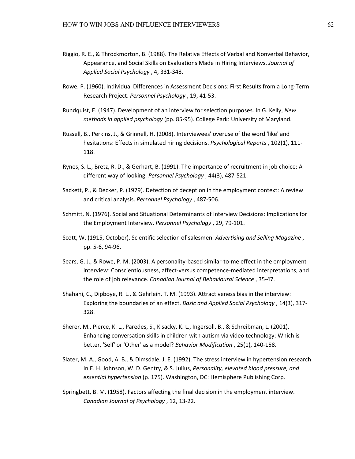- Riggio, R. E., & Throckmorton, B. (1988). The Relative Effects of Verbal and Nonverbal Behavior, Appearance, and Social Skills on Evaluations Made in Hiring Interviews. Journal of Applied Social Psychology , 4, 331-348.
- Rowe, P. (1960). Individual Differences in Assessment Decisions: First Results from a Long-Term Research Project. Personnel Psychology , 19, 41-53.
- Rundquist, E. (1947). Development of an interview for selection purposes. In G. Kelly, New methods in applied psychology (pp. 85-95). College Park: University of Maryland.
- Russell, B., Perkins, J., & Grinnell, H. (2008). Interviewees' overuse of the word 'like' and hesitations: Effects in simulated hiring decisions. Psychological Reports, 102(1), 111-118.
- Rynes, S. L., Bretz, R. D., & Gerhart, B. (1991). The importance of recruitment in job choice: A different way of looking. Personnel Psychology , 44(3), 487-521.
- Sackett, P., & Decker, P. (1979). Detection of deception in the employment context: A review and critical analysis. Personnel Psychology , 487-506.
- Schmitt, N. (1976). Social and Situational Determinants of Interview Decisions: Implications for the Employment Interview. Personnel Psychology , 29, 79-101.
- Scott, W. (1915, October). Scientific selection of salesmen. Advertising and Selling Magazine , pp. 5-6, 94-96.
- Sears, G. J., & Rowe, P. M. (2003). A personality-based similar-to-me effect in the employment interview: Conscientiousness, affect-versus competence-mediated interpretations, and the role of job relevance. Canadian Journal of Behavioural Science , 35-47.
- Shahani, C., Dipboye, R. L., & Gehrlein, T. M. (1993). Attractiveness bias in the interview: Exploring the boundaries of an effect. Basic and Applied Social Psychology , 14(3), 317- 328.
- Sherer, M., Pierce, K. L., Paredes, S., Kisacky, K. L., Ingersoll, B., & Schreibman, L. (2001). Enhancing conversation skills in children with autism via video technology: Which is better, 'Self' or 'Other' as a model? Behavior Modification , 25(1), 140-158.
- Slater, M. A., Good, A. B., & Dimsdale, J. E. (1992). The stress interview in hypertension research. In E. H. Johnson, W. D. Gentry, & S. Julius, Personality, elevated blood pressure, and essential hypertension (p. 175). Washington, DC: Hemisphere Publishing Corp.
- Springbett, B. M. (1958). Factors affecting the final decision in the employment interview. Canadian Journal of Psychology , 12, 13-22.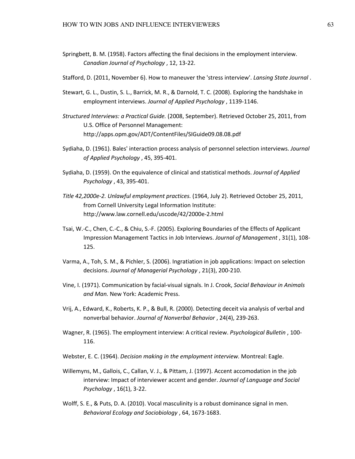- Springbett, B. M. (1958). Factors affecting the final decisions in the employment interview. Canadian Journal of Psychology , 12, 13-22.
- Stafford, D. (2011, November 6). How to maneuver the 'stress interview'. Lansing State Journal .
- Stewart, G. L., Dustin, S. L., Barrick, M. R., & Darnold, T. C. (2008). Exploring the handshake in employment interviews. Journal of Applied Psychology , 1139-1146.
- Structured Interviews: a Practical Guide. (2008, September). Retrieved October 25, 2011, from U.S. Office of Personnel Management: http://apps.opm.gov/ADT/ContentFiles/SIGuide09.08.08.pdf
- Sydiaha, D. (1961). Bales' interaction process analysis of personnel selection interviews. Journal of Applied Psychology , 45, 395-401.
- Sydiaha, D. (1959). On the equivalence of clinical and statistical methods. Journal of Applied Psychology , 43, 395-401.
- Title 42,2000e-2. Unlawful employment practices. (1964, July 2). Retrieved October 25, 2011, from Cornell University Legal Information Institute: http://www.law.cornell.edu/uscode/42/2000e-2.html
- Tsai, W.-C., Chen, C.-C., & Chiu, S.-F. (2005). Exploring Boundaries of the Effects of Applicant Impression Management Tactics in Job Interviews. Journal of Management , 31(1), 108- 125.
- Varma, A., Toh, S. M., & Pichler, S. (2006). Ingratiation in job applications: Impact on selection decisions. Journal of Managerial Psychology , 21(3), 200-210.
- Vine, I. (1971). Communication by facial-visual signals. In J. Crook, Social Behaviour in Animals and Man. New York: Academic Press.
- Vrij, A., Edward, K., Roberts, K. P., & Bull, R. (2000). Detecting deceit via analysis of verbal and nonverbal behavior. Journal of Nonverbal Behavior , 24(4), 239-263.
- Wagner, R. (1965). The employment interview: A critical review. *Psychological Bulletin*, 100-116.
- Webster, E. C. (1964). Decision making in the employment interview. Montreal: Eagle.
- Willemyns, M., Gallois, C., Callan, V. J., & Pittam, J. (1997). Accent accomodation in the job interview: Impact of interviewer accent and gender. Journal of Language and Social Psychology , 16(1), 3-22.
- Wolff, S. E., & Puts, D. A. (2010). Vocal masculinity is a robust dominance signal in men. Behavioral Ecology and Sociobiology , 64, 1673-1683.